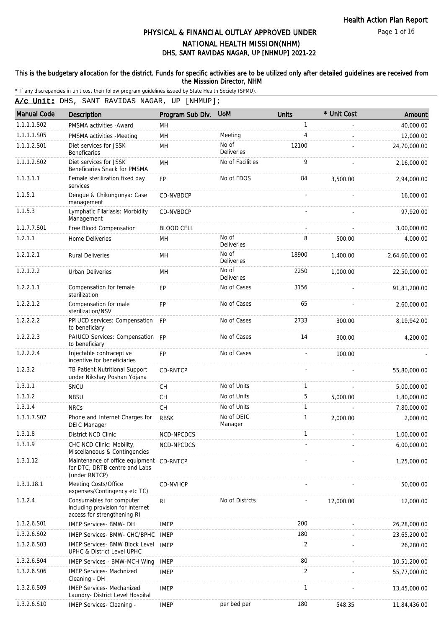Page 1 of 16

# DHS, SANT RAVIDAS NAGAR, UP [NHMUP] 2021-22 PHYSICAL & FINANCIAL OUTLAY APPROVED UNDER NATIONAL HEALTH MISSION(NHM)

#### This is the budgetary allocation for the district. Funds for specific activities are to be utilized only after detailed guidelines are received from the Misssion Director, NHM

\* If any discrepancies in unit cost then follow program guidelines issued by State Health Society (SPMU).

A/c Unit: DHS, SANT RAVIDAS NAGAR, UP [NHMUP];

| <b>Manual Code</b> | Description                                                                                 | Program Sub Div.  | <b>UoM</b>                 | Units          | * Unit Cost | Amount         |
|--------------------|---------------------------------------------------------------------------------------------|-------------------|----------------------------|----------------|-------------|----------------|
| 1.1.1.1.S02        | PMSMA activities - Award                                                                    | MН                |                            | $\mathbf{1}$   |             | 40,000.00      |
| 1.1.1.1.S05        | PMSMA activities -Meeting                                                                   | MH                | Meeting                    | 4              |             | 12,000.00      |
| 1.1.1.2.S01        | Diet services for JSSK<br><b>Beneficaries</b>                                               | MH                | No of<br><b>Deliveries</b> | 12100          |             | 24,70,000.00   |
| 1.1.1.2.S02        | Diet services for JSSK<br>Beneficaries Snack for PMSMA                                      | MH                | No of Facilities           | 9              |             | 2,16,000.00    |
| 1.1.3.1.1          | Female sterilization fixed day<br>services                                                  | <b>FP</b>         | No of FDOS                 | 84             | 3,500.00    | 2,94,000.00    |
| 1.1.5.1            | Dengue & Chikungunya: Case<br>management                                                    | CD-NVBDCP         |                            |                |             | 16,000.00      |
| 1.1.5.3            | Lymphatic Filariasis: Morbidity<br>Management                                               | CD-NVBDCP         |                            |                |             | 97,920.00      |
| 1.1.7.7.S01        | Free Blood Compensation                                                                     | <b>BLOOD CELL</b> |                            |                |             | 3,00,000.00    |
| 1.2.1.1            | Home Deliveries                                                                             | MН                | No of<br><b>Deliveries</b> | 8              | 500.00      | 4,000.00       |
| 1.2.1.2.1          | <b>Rural Deliveries</b>                                                                     | MН                | No of<br>Deliveries        | 18900          | 1,400.00    | 2,64,60,000.00 |
| 1.2.1.2.2          | Urban Deliveries                                                                            | MH                | No of<br>Deliveries        | 2250           | 1,000.00    | 22,50,000.00   |
| 1.2.2.1.1          | Compensation for female<br>sterilization                                                    | FP                | No of Cases                | 3156           |             | 91,81,200.00   |
| 1.2.2.1.2          | Compensation for male<br>sterilization/NSV                                                  | <b>FP</b>         | No of Cases                | 65             |             | 2,60,000.00    |
| 1.2.2.2.2          | PPIUCD services: Compensation FP<br>to beneficiary                                          |                   | No of Cases                | 2733           | 300.00      | 8,19,942.00    |
| 1.2.2.2.3          | PAIUCD Services: Compensation FP<br>to beneficiary                                          |                   | No of Cases                | 14             | 300.00      | 4,200.00       |
| 1.2.2.2.4          | Injectable contraceptive<br>incentive for beneficiaries                                     | <b>FP</b>         | No of Cases                |                | 100.00      |                |
| 1.2.3.2            | TB Patient Nutritional Support<br>under Nikshay Poshan Yojana                               | <b>CD-RNTCP</b>   |                            |                |             | 55,80,000.00   |
| 1.3.1.1            | SNCU                                                                                        | <b>CH</b>         | No of Units                | 1              |             | 5,00,000.00    |
| 1.3.1.2            | <b>NBSU</b>                                                                                 | <b>CH</b>         | No of Units                | 5              | 5,000.00    | 1,80,000.00    |
| 1.3.1.4            | <b>NRCs</b>                                                                                 | <b>CH</b>         | No of Units                | $\mathbf{1}$   |             | 7,80,000.00    |
| 1.3.1.7.S02        | Phone and Internet Charges for<br><b>DEIC Manager</b>                                       | <b>RBSK</b>       | No of DEIC<br>Manager      | $\mathbf{1}$   | 2,000.00    | 2,000.00       |
| 1.3.1.8            | District NCD Clinic                                                                         | NCD-NPCDCS        |                            | $\mathbf{1}$   |             | 1,00,000.00    |
| 1.3.1.9            | CHC NCD Clinic: Mobility,<br>Miscellaneous & Contingencies                                  | NCD-NPCDCS        |                            |                |             | 6,00,000.00    |
| 1.3.1.12           | Maintenance of office equipment<br>for DTC, DRTB centre and Labs<br>(under RNTCP)           | CD-RNTCP          |                            |                |             | 1,25,000.00    |
| 1.3.1.18.1         | Meeting Costs/Office<br>expenses/Contingency etc TC)                                        | CD-NVHCP          |                            |                |             | 50,000.00      |
| 1.3.2.4            | Consumables for computer<br>including provision for internet<br>access for strengthening RI | R <sub>l</sub>    | No of Distrcts             |                | 12,000.00   | 12,000.00      |
| 1.3.2.6.S01        | <b>IMEP Services- BMW- DH</b>                                                               | <b>IMEP</b>       |                            | 200            |             | 26,28,000.00   |
| 1.3.2.6.S02        | IMEP Services- BMW- CHC/BPHC IMEP                                                           |                   |                            | 180            |             | 23,65,200.00   |
| 1.3.2.6.S03        | IMEP Services- BMW Block Level<br>UPHC & District Level UPHC                                | <b>IMEP</b>       |                            | $\overline{2}$ |             | 26,280.00      |
| 1.3.2.6.S04        | IMEP Services - BMW-MCH Wing                                                                | <b>IMEP</b>       |                            | 80             |             | 10,51,200.00   |
| 1.3.2.6.S06        | <b>IMEP Services- Machnized</b><br>Cleaning - DH                                            | <b>IMEP</b>       |                            | $\overline{2}$ |             | 55,77,000.00   |
| 1.3.2.6.S09        | <b>IMEP Services- Mechanized</b><br>Laundry- District Level Hospital                        | <b>IMEP</b>       |                            | 1              |             | 13,45,000.00   |
| 1.3.2.6.S10        | IMEP Services- Cleaning -                                                                   | <b>IMEP</b>       | per bed per                | 180            | 548.35      | 11,84,436.00   |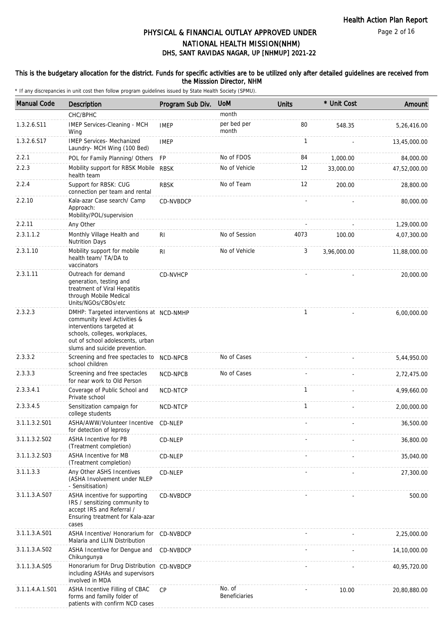Page 2 of 16

## DHS, SANT RAVIDAS NAGAR, UP [NHMUP] 2021-22 PHYSICAL & FINANCIAL OUTLAY APPROVED UNDER NATIONAL HEALTH MISSION(NHM)

### This is the budgetary allocation for the district. Funds for specific activities are to be utilized only after detailed guidelines are received from the Misssion Director, NHM

| <b>Manual Code</b> | Description                                                                                                                                                                                                  | Program Sub Div. | <b>UoM</b>              | <b>Units</b> | * Unit Cost | Amount       |
|--------------------|--------------------------------------------------------------------------------------------------------------------------------------------------------------------------------------------------------------|------------------|-------------------------|--------------|-------------|--------------|
|                    | CHC/BPHC                                                                                                                                                                                                     |                  | month                   |              |             |              |
| 1.3.2.6.S11        | IMEP Services-Cleaning - MCH<br>Wing                                                                                                                                                                         | <b>IMEP</b>      | per bed per<br>month    | 80           | 548.35      | 5,26,416.00  |
| 1.3.2.6.S17        | <b>IMEP Services- Mechanized</b><br>Laundry- MCH Wing (100 Bed)                                                                                                                                              | <b>IMEP</b>      |                         | $\mathbf{1}$ |             | 13,45,000.00 |
| 2.2.1              | POL for Family Planning/ Others                                                                                                                                                                              | <b>FP</b>        | No of FDOS              | 84           | 1,000.00    | 84,000.00    |
| 2.2.3              | Mobility support for RBSK Mobile RBSK<br>health team                                                                                                                                                         |                  | No of Vehicle           | 12           | 33,000.00   | 47,52,000.00 |
| 2.2.4              | Support for RBSK: CUG<br>connection per team and rental                                                                                                                                                      | <b>RBSK</b>      | No of Team              | 12           | 200.00      | 28,800.00    |
| 2.2.10             | Kala-azar Case search/ Camp<br>Approach:<br>Mobility/POL/supervision                                                                                                                                         | CD-NVBDCP        |                         |              |             | 80,000.00    |
| 2.2.11             | Any Other                                                                                                                                                                                                    |                  |                         |              |             | 1,29,000.00  |
| 2.3.1.1.2          | Monthly Village Health and<br><b>Nutrition Days</b>                                                                                                                                                          | R <sub>1</sub>   | No of Session           | 4073         | 100.00      | 4,07,300.00  |
| 2.3.1.10           | Mobility support for mobile<br>health team/ TA/DA to<br>vaccinators                                                                                                                                          | R <sub>l</sub>   | No of Vehicle           | 3            | 3,96,000.00 | 11,88,000.00 |
| 2.3.1.11           | Outreach for demand<br>generation, testing and<br>treatment of Viral Hepatitis<br>through Mobile Medical<br>Units/NGOs/CBOs/etc                                                                              | CD-NVHCP         |                         |              |             | 20,000.00    |
| 2.3.2.3            | DMHP: Targeted interventions at NCD-NMHP<br>community level Activities &<br>interventions targeted at<br>schools, colleges, workplaces,<br>out of school adolescents, urban<br>slums and suicide prevention. |                  |                         | $\mathbf{1}$ |             | 6,00,000.00  |
| 2.3.3.2            | Screening and free spectacles to NCD-NPCB<br>school children                                                                                                                                                 |                  | No of Cases             |              |             | 5,44,950.00  |
| 2.3.3.3            | Screening and free spectacles<br>for near work to Old Person                                                                                                                                                 | NCD-NPCB         | No of Cases             |              |             | 2,72,475.00  |
| 2.3.3.4.1          | Coverage of Public School and<br>Private school                                                                                                                                                              | NCD-NTCP         |                         | $\mathbf{1}$ |             | 4,99,660.00  |
| 2.3.3.4.5          | Sensitization campaign for<br>college students                                                                                                                                                               | NCD-NTCP         |                         | $\mathbf{1}$ |             | 2,00,000.00  |
| 3.1.1.3.2.S01      | ASHA/AWW/Volunteer Incentive<br>for detection of leprosy                                                                                                                                                     | CD-NLEP          |                         |              |             | 36,500.00    |
| 3.1.1.3.2.S02      | ASHA Incentive for PB<br>(Treatment completion)                                                                                                                                                              | CD-NLEP          |                         |              |             | 36,800.00    |
| 3.1.1.3.2.S03      | ASHA Incentive for MB<br>(Treatment completion)                                                                                                                                                              | CD-NLEP          |                         |              |             | 35,040.00    |
| 3.1.1.3.3          | Any Other ASHS Incentives<br>(ASHA Involvement under NLEP<br>- Sensitisation)                                                                                                                                | CD-NLEP          |                         |              |             | 27,300.00    |
| 3.1.1.3.A.S07      | ASHA incentive for supporting<br>IRS / sensitizing community to<br>accept IRS and Referral /<br>Ensuring treatment for Kala-azar<br>cases                                                                    | <b>CD-NVBDCP</b> |                         |              |             | 500.00       |
| 3.1.1.3.A.S01      | ASHA Incentive/ Honorarium for CD-NVBDCP<br>Malaria and LLIN Distribution                                                                                                                                    |                  |                         |              |             | 2,25,000.00  |
| 3.1.1.3.A.S02      | ASHA Incentive for Dengue and<br>Chikungunya                                                                                                                                                                 | CD-NVBDCP        |                         |              |             | 14,10,000.00 |
| 3.1.1.3.A.S05      | Honorarium for Drug Distribution CD-NVBDCP<br>including ASHAs and supervisors<br>involved in MDA                                                                                                             |                  |                         |              |             | 40,95,720.00 |
| 3.1.1.4.A.1.S01    | ASHA Incentive Filling of CBAC<br>forms and familly folder of<br>patients with confirm NCD cases                                                                                                             | <b>CP</b>        | No. of<br>Beneficiaries |              | 10.00       | 20,80,880.00 |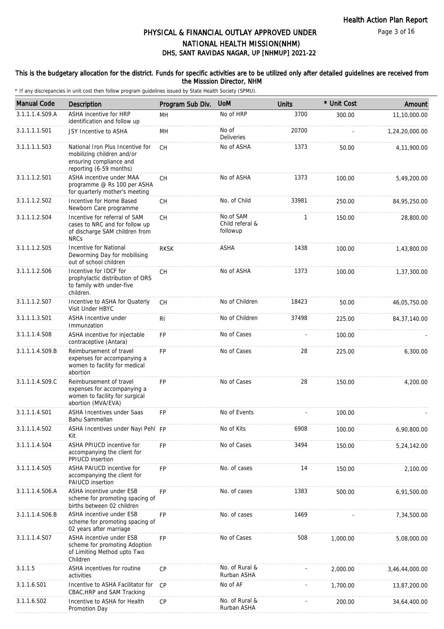Page 3 of 16

## DHS, SANT RAVIDAS NAGAR, UP [NHMUP] 2021-22 PHYSICAL & FINANCIAL OUTLAY APPROVED UNDER NATIONAL HEALTH MISSION(NHM)

### This is the budgetary allocation for the district. Funds for specific activities are to be utilized only after detailed guidelines are received from the Misssion Director, NHM

| <b>Manual Code</b> | Description                                                                                                          | Program Sub Div. | <b>UoM</b>                               | <b>Units</b> | * Unit Cost | Amount         |
|--------------------|----------------------------------------------------------------------------------------------------------------------|------------------|------------------------------------------|--------------|-------------|----------------|
| 3.1.1.1.4.S09.A    | ASHA incentive for HRP<br>identification and follow up                                                               | MH               | No of HRP                                | 3700         | 300.00      | 11,10,000.00   |
| 3.1.1.1.1.S01      | JSY Incentive to ASHA                                                                                                | MН               | No of<br>Deliveries                      | 20700        |             | 1,24,20,000.00 |
| 3.1.1.1.1.S03      | National Iron Plus Incentive for<br>mobilizing children and/or<br>ensuring compliance and<br>reporting (6-59 months) | <b>CH</b>        | No of ASHA                               | 1373         | 50.00       | 4,11,900.00    |
| 3.1.1.1.2.S01      | ASHA incentive under MAA<br>programme @ Rs 100 per ASHA<br>for quarterly mother's meeting                            | CH               | No of ASHA                               | 1373         | 100.00      | 5,49,200.00    |
| 3.1.1.1.2.S02      | Incentive for Home Based<br>Newborn Care programme                                                                   | <b>CH</b>        | No. of Child                             | 33981        | 250.00      | 84,95,250.00   |
| 3.1.1.1.2.S04      | Incentive for referral of SAM<br>cases to NRC and for follow up<br>of discharge SAM children from<br><b>NRCs</b>     | CH               | No.of SAM<br>Child referal &<br>followup | 1            | 150.00      | 28,800.00      |
| 3.1.1.1.2.S05      | Incentive for National<br>Deworming Day for mobilising<br>out of school children                                     | <b>RKSK</b>      | <b>ASHA</b>                              | 1438         | 100.00      | 1,43,800.00    |
| 3.1.1.1.2.S06      | Incentive for IDCF for<br>prophylactic distribution of ORS<br>to family with under-five<br>children.                 | СH               | No of ASHA                               | 1373         | 100.00      | 1,37,300.00    |
| 3.1.1.1.2.S07      | Incentive to ASHA for Quaterly<br>Visit Under HBYC                                                                   | CH               | No of Children                           | 18423        | 50.00       | 46,05,750.00   |
| 3.1.1.1.3.S01      | <b>ASHA Incentive under</b><br>Immunzation                                                                           | R <sub>1</sub>   | No of Children                           | 37498        | 225.00      | 84, 37, 140.00 |
| 3.1.1.1.4.S08      | ASHA incentive for injectable<br>contraceptive (Antara)                                                              | FP               | No of Cases                              |              | 100.00      |                |
| 3.1.1.1.4.S09.B    | Reimbursement of travel<br>expenses for accompanying a<br>women to facility for medical<br>abortion                  | <b>FP</b>        | No of Cases                              | 28           | 225.00      | 6,300.00       |
| 3.1.1.1.4.S09.C    | Reimbursement of travel<br>expenses for accompanying a<br>women to facility for surgical<br>abortion (MVA/EVA)       | <b>FP</b>        | No of Cases                              | 28           | 150.00      | 4,200.00       |
| 3.1.1.1.4.S01      | <b>ASHA Incentives under Saas</b><br>Bahu Sammellan                                                                  | <b>FP</b>        | No of Events                             |              | 100.00      |                |
| 3.1.1.1.4.S02      | ASHA Incentives under Nayi Pehl FP<br>Kit                                                                            |                  | No of Kits                               | 6908         | 100.00      | 6,90,800.00    |
| 3.1.1.1.4.S04      | ASHA PPIUCD incentive for<br>accompanying the client for<br>PPIUCD insertion                                         | <b>FP</b>        | No of Cases                              | 3494         | 150.00      | 5,24,142.00    |
| 3.1.1.1.4.S05      | ASHA PAIUCD incentive for<br>accompanying the client for<br>PAIUCD insertion                                         | <b>FP</b>        | No. of cases                             | 14           | 150.00      | 2,100.00       |
| 3.1.1.1.4.S06.A    | ASHA incentive under ESB<br>scheme for promoting spacing of<br>births between 02 children                            | <b>FP</b>        | No. of cases                             | 1383         | 500.00      | 6,91,500.00    |
| 3.1.1.1.4.S06.B    | ASHA incentive under ESB<br>scheme for promoting spacing of<br>02 years after marriage                               | FP               | No. of cases                             | 1469         |             | 7,34,500.00    |
| 3.1.1.1.4.S07      | ASHA incentive under ESB<br>scheme for promoting Adoption<br>of Limiting Method upto Two<br>Children                 | <b>FP</b>        | No of Cases                              | 508          | 1,000.00    | 5,08,000.00    |
| 3.1.1.5            | ASHA incentives for routine<br>activities                                                                            | CP               | No. of Rural &<br>Rurban ASHA            |              | 2,000.00    | 3,46,44,000.00 |
| 3.1.1.6.S01        | Incentive to ASHA Facilitator for<br>CBAC, HRP and SAM Tracking                                                      | <b>CP</b>        | No of AF                                 |              | 1,700.00    | 13,87,200.00   |
| 3.1.1.6.S02        | Incentive to ASHA for Health<br>Promotion Day                                                                        | CP               | No. of Rural &<br>Rurban ASHA            |              | 200.00      | 34,64,400.00   |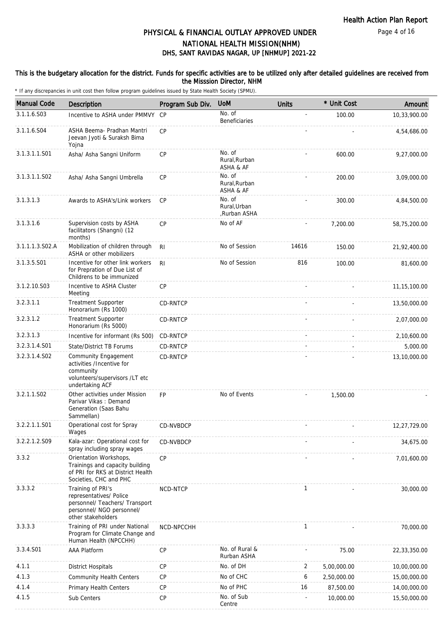Page 4 of 16

## DHS, SANT RAVIDAS NAGAR, UP [NHMUP] 2021-22 PHYSICAL & FINANCIAL OUTLAY APPROVED UNDER NATIONAL HEALTH MISSION(NHM)

### This is the budgetary allocation for the district. Funds for specific activities are to be utilized only after detailed guidelines are received from the Misssion Director, NHM

| <b>Manual Code</b> | Description                                                                                                                       | Program Sub Div. | <b>UoM</b>                             | <b>Units</b> | * Unit Cost | Amount         |
|--------------------|-----------------------------------------------------------------------------------------------------------------------------------|------------------|----------------------------------------|--------------|-------------|----------------|
| 3.1.1.6.S03        | Incentive to ASHA under PMMVY CP                                                                                                  |                  | No. of<br>Beneficiaries                |              | 100.00      | 10,33,900.00   |
| 3.1.1.6.S04        | ASHA Beema- Pradhan Mantri<br>Jeevan Jyoti & Suraksh Bima<br>Yojna                                                                | CP               |                                        |              |             | 4,54,686.00    |
| 3.1.3.1.1.S01      | Asha/ Asha Sangni Uniform                                                                                                         | CP               | No. of<br>Rural, Rurban<br>ASHA & AF   |              | 600.00      | 9,27,000.00    |
| 3.1.3.1.1.S02      | Asha/ Asha Sangni Umbrella                                                                                                        | <b>CP</b>        | No. of<br>Rural, Rurban<br>ASHA & AF   |              | 200.00      | 3,09,000.00    |
| 3.1.3.1.3          | Awards to ASHA's/Link workers                                                                                                     | CP               | No. of<br>Rural, Urban<br>,Rurban ASHA |              | 300.00      | 4,84,500.00    |
| 3.1.3.1.6          | Supervision costs by ASHA<br>facilitators (Shangni) (12<br>months)                                                                | CP               | No of AF                               |              | 7,200.00    | 58,75,200.00   |
| 3.1.1.1.3.S02.A    | Mobilization of children through<br>ASHA or other mobilizers                                                                      | R <sub>l</sub>   | No of Session                          | 14616        | 150.00      | 21,92,400.00   |
| 3.1.3.5.S01        | Incentive for other link workers<br>for Prepration of Due List of<br>Childrens to be immunized                                    | R <sub>l</sub>   | No of Session                          | 816          | 100.00      | 81,600.00      |
| 3.1.2.10.S03       | Incentive to ASHA Cluster<br>Meeting                                                                                              | CP               |                                        |              |             | 11, 15, 100.00 |
| 3.2.3.1.1          | <b>Treatment Supporter</b><br>Honorarium (Rs 1000)                                                                                | CD-RNTCP         |                                        |              |             | 13,50,000.00   |
| 3.2.3.1.2          | <b>Treatment Supporter</b><br>Honorarium (Rs 5000)                                                                                | CD-RNTCP         |                                        |              |             | 2,07,000.00    |
| 3.2.3.1.3          | Incentive for informant (Rs 500)                                                                                                  | CD-RNTCP         |                                        |              |             | 2,10,600.00    |
| 3.2.3.1.4.S01      | State/District TB Forums                                                                                                          | CD-RNTCP         |                                        |              |             | 5,000.00       |
| 3.2.3.1.4.S02      | <b>Community Engagement</b><br>activities /Incentive for<br>community<br>volunteers/supervisors /LT etc<br>undertaking ACF        | CD-RNTCP         |                                        |              |             | 13,10,000.00   |
| 3.2.1.1.S02        | Other activities under Mission<br>Parivar Vikas: Demand<br>Generation (Saas Bahu<br>Sammellan)                                    | <b>FP</b>        | No of Events                           |              | 1,500.00    |                |
| 3.2.2.1.1.S01      | Operational cost for Spray<br>Wages                                                                                               | <b>CD-NVBDCP</b> |                                        |              |             | 12.27.729.00   |
| 3.2.2.1.2.S09      | Kala-azar: Operational cost for<br>spray including spray wages                                                                    | CD-NVBDCP        |                                        |              |             | 34,675.00      |
| 3.3.2              | Orientation Workshops,<br>Trainings and capacity building<br>of PRI for RKS at District Health<br>Societies, CHC and PHC          | CP               |                                        |              |             | 7,01,600.00    |
| 3.3.3.2            | Training of PRI's<br>representatives/ Police<br>personnel/ Teachers/ Transport<br>personnel/ NGO personnel/<br>other stakeholders | NCD-NTCP         |                                        | 1            |             | 30,000.00      |
| 3.3.3.3            | Training of PRI under National<br>Program for Climate Change and<br>Human Health (NPCCHH)                                         | NCD-NPCCHH       |                                        | 1            |             | 70,000.00      |
| 3.3.4.S01          | <b>AAA Platform</b>                                                                                                               | CP               | No. of Rural &<br>Rurban ASHA          |              | 75.00       | 22,33,350.00   |
| 4.1.1              | <b>District Hospitals</b>                                                                                                         | CP               | No. of DH                              | 2            | 5,00,000.00 | 10,00,000.00   |
| 4.1.3              | <b>Community Health Centers</b>                                                                                                   | CP               | No of CHC                              | 6            | 2,50,000.00 | 15,00,000.00   |
| 4.1.4              | Primary Health Centers                                                                                                            | CP               | No of PHC                              | 16           | 87,500.00   | 14,00,000.00   |
| 4.1.5              | Sub Centers                                                                                                                       | CP               | No. of Sub<br>Centre                   |              | 10,000.00   | 15,50,000.00   |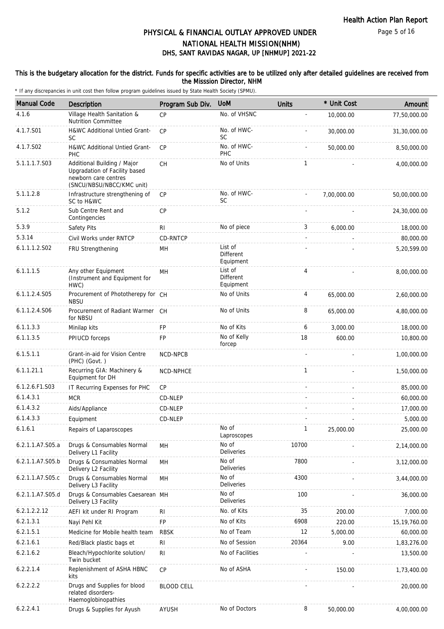## DHS, SANT RAVIDAS NAGAR, UP [NHMUP] 2021-22 PHYSICAL & FINANCIAL OUTLAY APPROVED UNDER NATIONAL HEALTH MISSION(NHM)

### This is the budgetary allocation for the district. Funds for specific activities are to be utilized only after detailed guidelines are received from the Misssion Director, NHM

| <b>Manual Code</b> | Description                                                                                                       | Program Sub Div.  | <b>UoM</b>                               | <b>Units</b>   | * Unit Cost | Amount         |
|--------------------|-------------------------------------------------------------------------------------------------------------------|-------------------|------------------------------------------|----------------|-------------|----------------|
| 4.1.6              | Village Health Sanitation &<br><b>Nutrition Committee</b>                                                         | CP                | No. of VHSNC                             | $\overline{a}$ | 10,000.00   | 77,50,000.00   |
| 4.1.7.S01          | H&WC Additional Untied Grant-<br><b>SC</b>                                                                        | CP                | No. of HWC-<br><b>SC</b>                 |                | 30,000.00   | 31,30,000.00   |
| 4.1.7.S02          | H&WC Additional Untied Grant-<br>PHC                                                                              | <b>CP</b>         | No. of HWC-<br>PHC                       |                | 50,000.00   | 8,50,000.00    |
| 5.1.1.1.7.S03      | Additional Building / Major<br>Upgradation of Facility based<br>newborn care centres<br>(SNCU/NBSU/NBCC/KMC unit) | <b>CH</b>         | No of Units                              | 1              |             | 4,00,000.00    |
| 5.1.1.2.8          | Infrastructure strengthening of<br>SC to H&WC                                                                     | <b>CP</b>         | No. of HWC-<br><b>SC</b>                 |                | 7,00,000.00 | 50,00,000.00   |
| 5.1.2              | Sub Centre Rent and<br>Contingencies                                                                              | <b>CP</b>         |                                          |                |             | 24,30,000.00   |
| 5.3.9              | Safety Pits                                                                                                       | R <sub>1</sub>    | No of piece                              | 3              | 6,000.00    | 18,000.00      |
| 5.3.14             | Civil Works under RNTCP                                                                                           | CD-RNTCP          |                                          |                |             | 80,000.00      |
| 6.1.1.1.2.S02      | FRU Strengthening                                                                                                 | MH                | List of<br>Different<br>Equipment        |                |             | 5,20,599.00    |
| 6.1.1.1.5          | Any other Equipment<br>(Instrument and Equipment for<br>HWC)                                                      | MН                | List of<br><b>Different</b><br>Equipment | 4              |             | 8,00,000.00    |
| 6.1.1.2.4.S05      | Procurement of Phototherepy for CH<br><b>NBSU</b>                                                                 |                   | No of Units                              | 4              | 65,000.00   | 2,60,000.00    |
| 6.1.1.2.4.S06      | Procurement of Radiant Warmer CH<br>for NBSU                                                                      |                   | No of Units                              | 8              | 65,000.00   | 4,80,000.00    |
| 6.1.1.3.3          | Minilap kits                                                                                                      | FP                | No of Kits                               | 6              | 3,000.00    | 18,000.00      |
| 6.1.1.3.5          | PPIUCD forceps                                                                                                    | FP                | No of Kelly<br>forcep                    | 18             | 600.00      | 10,800.00      |
| 6.1.5.1.1          | Grant-in-aid for Vision Centre<br>(PHC) (Govt.)                                                                   | <b>NCD-NPCB</b>   |                                          |                |             | 1,00,000.00    |
| 6.1.1.21.1         | Recurring GIA: Machinery &<br>Equipment for DH                                                                    | NCD-NPHCE         |                                          | 1              |             | 1,50,000.00    |
| 6.1.2.6.F1.S03     | IT Recurring Expenses for PHC                                                                                     | <b>CP</b>         |                                          |                |             | 85,000.00      |
| 6.1.4.3.1          | <b>MCR</b>                                                                                                        | CD-NLEP           |                                          |                |             | 60,000.00      |
| 6.1.4.3.2          | Aids/Appliance                                                                                                    | CD-NLEP           |                                          |                |             | 17,000.00      |
| 6.1.4.3.3          | Equipment                                                                                                         | CD-NLEP           |                                          |                |             | 5,000.00       |
| 6.1.6.1            | Repairs of Laparoscopes                                                                                           |                   | No of<br>Laproscopes                     | 1              | 25.000.00   | 25,000.00      |
| 6.2.1.1.A7.S05.a   | Drugs & Consumables Normal<br>Delivery L1 Facility                                                                | MН                | No of<br>Deliveries                      | 10700          |             | 2,14,000.00    |
| 6.2.1.1.A7.S05.b   | Drugs & Consumables Normal<br>Delivery L2 Facility                                                                | MH                | No of<br><b>Deliveries</b>               | 7800           |             | 3,12,000.00    |
| 6.2.1.1.A7.S05.c   | Drugs & Consumables Normal<br>Delivery L3 Facility                                                                | MH                | No of<br>Deliveries                      | 4300           |             | 3,44,000.00    |
| 6.2.1.1.A7.S05.d   | Drugs & Consumables Caesarean MH<br>Delivery L3 Facility                                                          |                   | No of<br>Deliveries                      | 100            |             | 36,000.00      |
| 6.2.1.2.2.12       | AEFI kit under RI Program                                                                                         | <b>RI</b>         | No. of Kits                              | 35             | 200.00      | 7,000.00       |
| 6.2.1.3.1          | Nayi Pehl Kit                                                                                                     | FP                | No of Kits                               | 6908           | 220.00      | 15, 19, 760.00 |
| 6.2.1.5.1          | Medicine for Mobile health team                                                                                   | <b>RBSK</b>       | No of Team                               | 12             | 5,000.00    | 60,000.00      |
| 6.2.1.6.1          | Red/Black plastic bags et                                                                                         | R <sub>l</sub>    | No of Session                            | 20364          | 9.00        | 1,83,276.00    |
| 6.2.1.6.2          | Bleach/Hypochlorite solution/<br>Twin bucket                                                                      | <b>RI</b>         | No of Facilities                         |                |             | 13,500.00      |
| 6.2.2.1.4          | Replenishment of ASHA HBNC<br>kits                                                                                | CP                | No of ASHA                               |                | 150.00      | 1,73,400.00    |
| 6.2.2.2.2          | Drugs and Supplies for blood<br>related disorders-<br>Haemoglobinopathies                                         | <b>BLOOD CELL</b> |                                          |                |             | 20,000.00      |
| 6.2.2.4.1          | Drugs & Supplies for Ayush                                                                                        | AYUSH             | No of Doctors                            | 8              | 50,000.00   | 4,00,000.00    |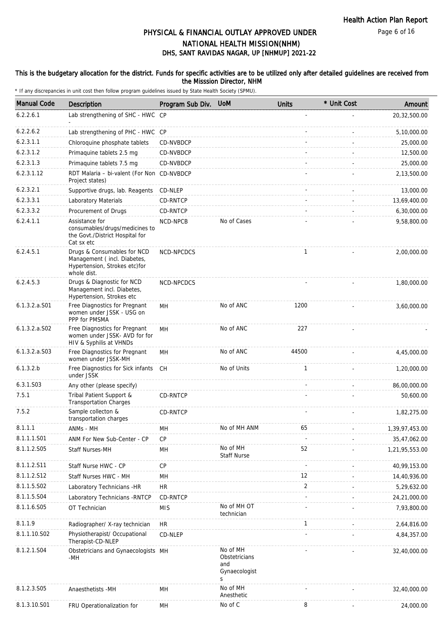Health Action Plan Report

Page 6 of 16

# DHS, SANT RAVIDAS NAGAR, UP [NHMUP] 2021-22 PHYSICAL & FINANCIAL OUTLAY APPROVED UNDER NATIONAL HEALTH MISSION(NHM)

### This is the budgetary allocation for the district. Funds for specific activities are to be utilized only after detailed guidelines are received from the Misssion Director, NHM

| <b>Manual Code</b> | Description                                                                                                | Program Sub Div. | <b>UoM</b>                                             | <b>Units</b> | * Unit Cost | Amount         |
|--------------------|------------------------------------------------------------------------------------------------------------|------------------|--------------------------------------------------------|--------------|-------------|----------------|
| 6.2.2.6.1          | Lab strengthening of SHC - HWC CP                                                                          |                  |                                                        |              |             | 20,32,500.00   |
| 6.2.2.6.2          | Lab strengthening of PHC - HWC CP                                                                          |                  |                                                        |              |             | 5,10,000.00    |
| 6.2.3.1.1          | Chloroquine phosphate tablets                                                                              | CD-NVBDCP        |                                                        |              |             | 25,000.00      |
| 6.2.3.1.2          | Primaquine tablets 2.5 mg                                                                                  | CD-NVBDCP        |                                                        |              |             | 12,500.00      |
| 6.2.3.1.3          | Primaguine tablets 7.5 mg                                                                                  | CD-NVBDCP        |                                                        |              |             | 25,000.00      |
| 6.2.3.1.12         | RDT Malaria - bi-valent (For Non CD-NVBDCP<br>Project states)                                              |                  |                                                        |              |             | 2,13,500.00    |
| 6.2.3.2.1          | Supportive drugs, lab. Reagents                                                                            | CD-NLEP          |                                                        |              |             | 13,000.00      |
| 6.2.3.3.1          | Laboratory Materials                                                                                       | CD-RNTCP         |                                                        |              |             | 13,69,400.00   |
| 6.2.3.3.2          | Procurement of Drugs                                                                                       | CD-RNTCP         |                                                        |              |             | 6,30,000.00    |
| 6.2.4.1.1          | Assistance for<br>consumables/drugs/medicines to<br>the Govt./District Hospital for<br>Cat sx etc          | NCD-NPCB         | No of Cases                                            |              |             | 9,58,800.00    |
| 6.2.4.5.1          | Drugs & Consumables for NCD<br>Management (incl. Diabetes,<br>Hypertension, Strokes etc)for<br>whole dist. | NCD-NPCDCS       |                                                        | $\mathbf{1}$ |             | 2,00,000.00    |
| 6.2.4.5.3          | Drugs & Diagnostic for NCD<br>Management incl. Diabetes,<br>Hypertension, Strokes etc                      | NCD-NPCDCS       |                                                        |              |             | 1,80,000.00    |
| 6.1.3.2.a.S01      | Free Diagnostics for Pregnant<br>women under JSSK - USG on<br>PPP for PMSMA                                | <b>MH</b>        | No of ANC                                              | 1200         |             | 3,60,000.00    |
| $6.1.3.2.a.$ SO2   | Free Diagnostics for Pregnant<br>women under JSSK- AVD for for<br>HIV & Syphilis at VHNDs                  | MH               | No of ANC                                              | 227          |             |                |
| $6.1.3.2.a.$ SO3   | Free Diagnostics for Pregnant<br>women under JSSK-MH                                                       | <b>MH</b>        | No of ANC                                              | 44500        |             | 4,45,000.00    |
| 6.1.3.2.b          | Free Diagnostics for Sick infants CH<br>under JSSK                                                         |                  | No of Units                                            | $\mathbf{1}$ |             | 1,20,000.00    |
| 6.3.1.S03          | Any other (please specify)                                                                                 |                  |                                                        |              |             | 86,00,000.00   |
| 7.5.1              | Tribal Patient Support &<br><b>Transportation Charges</b>                                                  | CD-RNTCP         |                                                        |              |             | 50,600.00      |
| 7.5.2              | Sample collecton &<br>transportation charges                                                               | CD-RNTCP         |                                                        |              |             | 1,82,275.00    |
| 8.1.1.1            | ANMs - MH                                                                                                  | MН               | No of MH ANM                                           | 65           |             | 1,39,97,453.00 |
| 8.1.1.1.S01        | ANM For New Sub-Center - CP                                                                                | CP               |                                                        |              |             | 35,47,062.00   |
| 8.1.1.2.S05        | Staff Nurses-MH                                                                                            | MН               | No of MH<br><b>Staff Nurse</b>                         | 52           |             | 1,21,95,553.00 |
| 8.1.1.2.S11        | Staff Nurse HWC - CP                                                                                       | CP               |                                                        |              |             | 40,99,153.00   |
| 8.1.1.2.S12        | Staff Nurses HWC - MH                                                                                      | MН               |                                                        | 12           |             | 14,40,936.00   |
| 8.1.1.5.S02        | Laboratory Technicians -HR                                                                                 | <b>HR</b>        |                                                        | 2            |             | 5,29,632.00    |
| 8.1.1.5.S04        | Laboratory Technicians - RNTCP                                                                             | CD-RNTCP         |                                                        |              |             | 24,21,000.00   |
| 8.1.1.6.S05        | OT Technician                                                                                              | <b>MIS</b>       | No of MH OT<br>technician                              |              |             | 7,93,800.00    |
| 8.1.1.9            | Radiographer/ X-ray technician                                                                             | ${\sf HR}$       |                                                        | $\mathbf{1}$ |             | 2,64,816.00    |
| 8.1.1.10.S02       | Physiotherapist/ Occupational<br>Therapist-CD-NLEP                                                         | CD-NLEP          |                                                        |              |             | 4,84,357.00    |
| 8.1.2.1.S04        | Obstetricians and Gynaecologists MH<br>-MH                                                                 |                  | No of MH<br>Obstetricians<br>and<br>Gynaecologist<br>S |              |             | 32,40,000.00   |
| 8.1.2.3.S05        | Anaesthetists -MH                                                                                          | MН               | No of MH<br>Anesthetic                                 |              |             | 32,40,000.00   |
| 8.1.3.10.S01       | FRU Operationalization for                                                                                 | MH               | No of C                                                | 8            |             | 24,000.00      |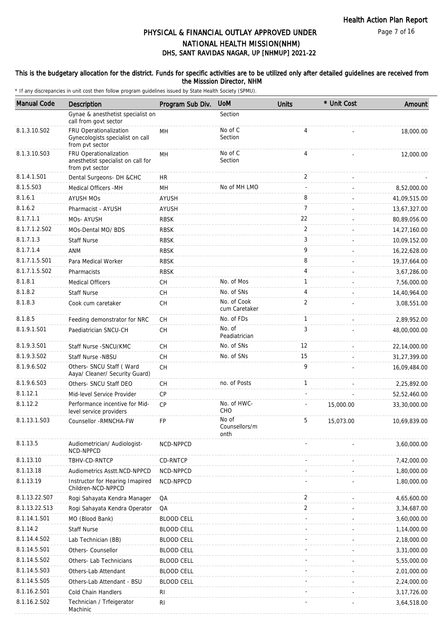Page 7 of 16

### DHS, SANT RAVIDAS NAGAR, UP [NHMUP] 2021-22 PHYSICAL & FINANCIAL OUTLAY APPROVED UNDER NATIONAL HEALTH MISSION(NHM)

### This is the budgetary allocation for the district. Funds for specific activities are to be utilized only after detailed guidelines are received from the Misssion Director, NHM

| <b>Manual Code</b> | Description                                                                     | Program Sub Div.  | <b>UoM</b>                     | Units          | * Unit Cost | Amount        |
|--------------------|---------------------------------------------------------------------------------|-------------------|--------------------------------|----------------|-------------|---------------|
|                    | Gynae & anesthetist specialist on<br>call from govt sector                      |                   | Section                        |                |             |               |
| 8.1.3.10.S02       | FRU Operationalization<br>Gynecologists specialist on call<br>from pvt sector   | <b>MH</b>         | No of C<br>Section             | 4              |             | 18,000.00     |
| 8.1.3.10.S03       | FRU Operationalization<br>anesthetist specialist on call for<br>from pvt sector | <b>MH</b>         | No of C<br>Section             | $\overline{4}$ |             | 12,000.00     |
| 8.1.4.1.S01        | Dental Surgeons- DH &CHC                                                        | <b>HR</b>         |                                | 2              | ä,          |               |
| 8.1.5.S03          | Medical Officers -MH                                                            | MH                | No of MH LMO                   | $\sim$         |             | 8,52,000.00   |
| 8.1.6.1            | <b>AYUSH MOS</b>                                                                | AYUSH             |                                | 8              |             | 41,09,515.00  |
| 8.1.6.2            | Pharmacist - AYUSH                                                              | <b>AYUSH</b>      |                                | $\overline{7}$ |             | 13,67,327.00  |
| 8.1.7.1.1          | MOs-AYUSH                                                                       | <b>RBSK</b>       |                                | 22             |             | 80,89,056.00  |
| 8.1.7.1.2.S02      | MOs-Dental MO/ BDS                                                              | <b>RBSK</b>       |                                | $\overline{2}$ |             | 14,27,160.00  |
| 8.1.7.1.3          | <b>Staff Nurse</b>                                                              | <b>RBSK</b>       |                                | 3              |             | 10,09,152.00  |
| 8.1.7.1.4          | <b>ANM</b>                                                                      | <b>RBSK</b>       |                                | 9              |             | 16,22,628.00  |
| 8.1.7.1.5.S01      | Para Medical Worker                                                             | <b>RBSK</b>       |                                | 8              |             | 19,37,664.00  |
| 8.1.7.1.5.S02      | Pharmacists                                                                     | <b>RBSK</b>       |                                | 4              |             | 3,67,286.00   |
| 8.1.8.1            | <b>Medical Officers</b>                                                         | CH                | No. of Mos                     | $\mathbf{1}$   |             | 7,56,000.00   |
| 8.1.8.2            | <b>Staff Nurse</b>                                                              | СH                | No. of SNs                     | 4              |             | 14,40,964.00  |
| 8.1.8.3            | Cook cum caretaker                                                              | CH                | No. of Cook<br>cum Caretaker   | 2              |             | 3,08,551.00   |
| 8.1.8.5            | Feeding demonstrator for NRC                                                    | СH                | No. of FDs                     | $\mathbf{1}$   |             | 2,89,952.00   |
| 8.1.9.1.S01        | Paediatrician SNCU-CH                                                           | <b>CH</b>         | No. of<br>Peadiatrician        | 3              |             | 48,00,000.00  |
| 8.1.9.3.S01        | Staff Nurse - SNCU/KMC                                                          | <b>CH</b>         | No. of SNs                     | 12             |             | 22,14,000.00  |
| 8.1.9.3.SO2        | Staff Nurse -NBSU                                                               | <b>CH</b>         | No. of SNs                     | 15             |             | 31,27,399.00  |
| 8.1.9.6.SO2        | Others- SNCU Staff (Ward<br>Aaya/ Cleaner/ Security Guard)                      | <b>CH</b>         |                                | 9              |             | 16,09,484.00  |
| 8.1.9.6.S03        | Others- SNCU Staff DEO                                                          | <b>CH</b>         | no. of Posts                   | $\mathbf{1}$   |             | 2,25,892.00   |
| 8.1.12.1           | Mid-level Service Provider                                                      | CP                |                                |                |             | 52,52,460.00  |
| 8.1.12.2           | Performance incentive for Mid-<br>level service providers                       | CP                | No. of HWC-<br><b>CHO</b>      |                | 15,000.00   | 33,30,000.00  |
| 8.1.13.1.S03       | Counsellor - RMNCHA-FW                                                          | <b>FP</b>         | No of<br>Counsellors/m<br>onth | 5              | 15,073.00   | 10,69,839.00  |
| 8.1.13.5           | Audiometrician/ Audiologist-<br>NCD-NPPCD                                       | NCD-NPPCD         |                                |                |             | 3.60.000.00   |
| 8.1.13.10          | TBHV-CD-RNTCP                                                                   | CD-RNTCP          |                                |                |             | 7,42,000.00   |
| 8.1.13.18          | Audiometrics Asstt.NCD-NPPCD                                                    | NCD-NPPCD         |                                |                |             | 1,80,000.00   |
| 8.1.13.19          | Instructor for Hearing Imapired<br>Children-NCD-NPPCD                           | NCD-NPPCD         |                                |                |             | 1,80,000.00   |
| 8.1.13.22.S07      | Rogi Sahayata Kendra Manager                                                    | QA                |                                | 2              |             | 4,65,600.00   |
| 8.1.13.22.S13      | Rogi Sahayata Kendra Operator                                                   | QA                |                                | 2              |             | 3,34,687.00   |
| 8.1.14.1.S01       | MO (Blood Bank)                                                                 | <b>BLOOD CELL</b> |                                |                |             | 3,60,000.00   |
| 8.1.14.2           | <b>Staff Nurse</b>                                                              | <b>BLOOD CELL</b> |                                |                |             | 1,14,000.00   |
| 8.1.14.4.S02       | Lab Technician (BB)                                                             | <b>BLOOD CELL</b> |                                |                |             | 2,18,000.00   |
| 8.1.14.5.S01       | Others- Counsellor                                                              | <b>BLOOD CELL</b> |                                |                |             | 3,31,000.00   |
| 8.1.14.5.S02       | Others- Lab Technicians                                                         | <b>BLOOD CELL</b> |                                |                |             | 5,55,000.00   |
| 8.1.14.5.S03       | Others-Lab Attendant                                                            | <b>BLOOD CELL</b> |                                |                |             | 2,01,000.00   |
| 8.1.14.5.S05       | Others-Lab Attendant - BSU                                                      | <b>BLOOD CELL</b> |                                |                |             | 2,24,000.00   |
| 8.1.16.2.S01       | Cold Chain Handlers                                                             | <b>RI</b>         |                                |                |             | 3, 17, 726.00 |
| 8.1.16.2.S02       | Technician / Trfeigerator<br>Machinic                                           | <b>RI</b>         |                                |                |             | 3,64,518.00   |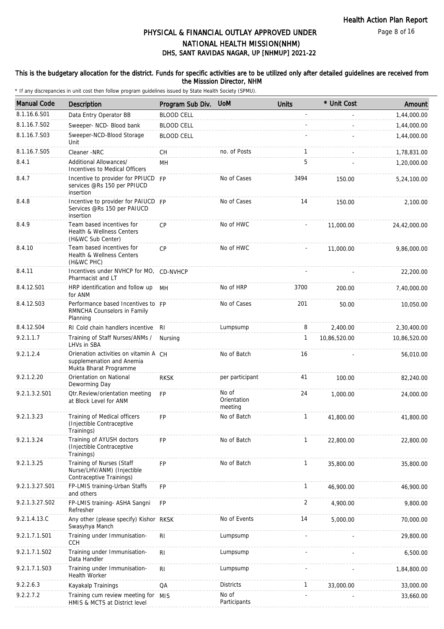Page 8 of 16

# DHS, SANT RAVIDAS NAGAR, UP [NHMUP] 2021-22 PHYSICAL & FINANCIAL OUTLAY APPROVED UNDER NATIONAL HEALTH MISSION(NHM)

### This is the budgetary allocation for the district. Funds for specific activities are to be utilized only after detailed guidelines are received from the Misssion Director, NHM

| <b>Manual Code</b> | Description                                                                                  | Program Sub Div.  | <b>UoM</b>                      | <b>Units</b> | * Unit Cost  | Amount       |
|--------------------|----------------------------------------------------------------------------------------------|-------------------|---------------------------------|--------------|--------------|--------------|
| 8.1.16.6.S01       | Data Entry Operator BB                                                                       | <b>BLOOD CELL</b> |                                 |              |              | 1,44,000.00  |
| 8.1.16.7.S02       | Sweeper- NCD- Blood bank                                                                     | <b>BLOOD CELL</b> |                                 |              |              | 1,44,000.00  |
| 8.1.16.7.S03       | Sweeper-NCD-Blood Storage<br>Unit                                                            | <b>BLOOD CELL</b> |                                 |              |              | 1,44,000.00  |
| 8.1.16.7.S05       | Cleaner -NRC                                                                                 | СH                | no. of Posts                    | 1            |              | 1,78,831.00  |
| 8.4.1              | Additional Allowances/<br>Incentives to Medical Officers                                     | MН                |                                 | 5            |              | 1,20,000.00  |
| 8.4.7              | Incentive to provider for PPIUCD FP<br>services @Rs 150 per PPIUCD<br>insertion              |                   | No of Cases                     | 3494         | 150.00       | 5,24,100.00  |
| 8.4.8              | Incentive to provider for PAIUCD FP<br>Services @Rs 150 per PAIUCD<br>insertion              |                   | No of Cases                     | 14           | 150.00       | 2,100.00     |
| 8.4.9              | Team based incentives for<br>Health & Wellness Centers<br>(H&WC Sub Center)                  | <b>CP</b>         | No of HWC                       |              | 11,000.00    | 24,42,000.00 |
| 8.4.10             | Team based incentives for<br>Health & Wellness Centers<br>(H&WC PHC)                         | <b>CP</b>         | No of HWC                       |              | 11,000.00    | 9,86,000.00  |
| 8.4.11             | Incentives under NVHCP for MO, CD-NVHCP<br>Pharmacist and LT                                 |                   |                                 |              |              | 22,200.00    |
| 8.4.12.S01         | HRP identification and follow up MH<br>for ANM                                               |                   | No of HRP                       | 3700         | 200.00       | 7,40,000.00  |
| 8.4.12.S03         | Performance based Incentives to FP<br>RMNCHA Counselors in Family<br>Planning                |                   | No of Cases                     | 201          | 50.00        | 10,050.00    |
| 8.4.12.S04         | RI Cold chain handlers incentive                                                             | RI                | Lumpsump                        | 8            | 2,400.00     | 2,30,400.00  |
| 9.2.1.1.7          | Training of Staff Nurses/ANMs /<br>LHVs in SBA                                               | Nursing           |                                 | 1            | 10,86,520.00 | 10,86,520.00 |
| 9.2.1.2.4          | Orienation activities on vitamin A CH<br>supplemenation and Anemia<br>Mukta Bharat Programme |                   | No of Batch                     | 16           |              | 56,010.00    |
| 9.2.1.2.20         | Orientation on National<br>Deworming Day                                                     | <b>RKSK</b>       | per participant                 | 41           | 100.00       | 82,240.00    |
| 9.2.1.3.2.S01      | <b>Qtr.Review/orientation meeting</b><br>at Block Level for ANM                              | <b>FP</b>         | No of<br>Orientation<br>meeting | 24           | 1,000.00     | 24,000.00    |
| 9.2.1.3.23         | Training of Medical officers<br>(Injectible Contraceptive)<br>Trainings)                     | <b>FP</b>         | No of Batch                     | $\mathbf{1}$ | 41,800.00    | 41,800.00    |
| 9.2.1.3.24         | Training of AYUSH doctors<br>(Injectible Contraceptive<br>Trainings)                         | <b>FP</b>         | No of Batch                     | 1            | 22,800.00    | 22,800.00    |
| 9.2.1.3.25         | Training of Nurses (Staff<br>Nurse/LHV/ANM) (Injectible<br>Contraceptive Trainings)          | <b>FP</b>         | No of Batch                     | 1            | 35,800.00    | 35,800.00    |
| 9.2.1.3.27.S01     | FP-LMIS training-Urban Staffs<br>and others                                                  | FP                |                                 | 1            | 46,900.00    | 46,900.00    |
| 9.2.1.3.27.S02     | FP-LMIS training- ASHA Sangni<br>Refresher                                                   | <b>FP</b>         |                                 | 2            | 4,900.00     | 9,800.00     |
| 9.2.1.4.13.C       | Any other (please specify) Kishor<br>Swasyhya Manch                                          | <b>RKSK</b>       | No of Events                    | 14           | 5,000.00     | 70,000.00    |
| 9.2.1.7.1.S01      | Training under Immunisation-<br><b>CCH</b>                                                   | R <sub>1</sub>    | Lumpsump                        |              |              | 29,800.00    |
| 9.2.1.7.1.S02      | Training under Immunisation-<br>Data Handler                                                 | RI                | Lumpsump                        |              |              | 6,500.00     |
| 9.2.1.7.1.S03      | Training under Immunisation-<br>Health Worker                                                | <b>RI</b>         | Lumpsump                        |              |              | 1,84,800.00  |
| 9.2.2.6.3          | Kayakalp Trainings                                                                           | QA                | <b>Districts</b>                | 1            | 33,000.00    | 33,000.00    |
| 9.2.2.7.2          | Training cum review meeting for<br>HMIS & MCTS at District level                             | <b>MIS</b>        | No of<br>Participants           |              |              | 33,660.00    |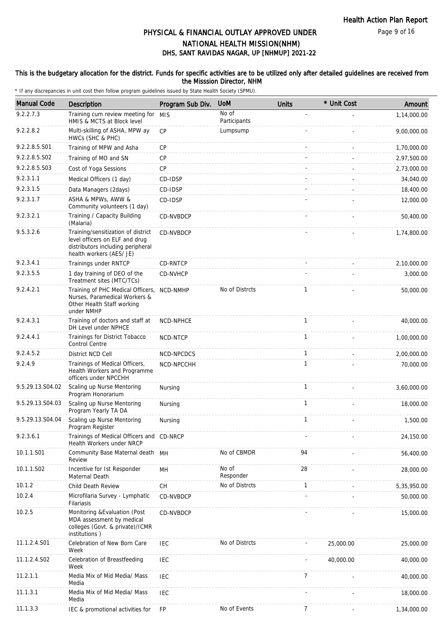Page 9 of 16

# DHS, SANT RAVIDAS NAGAR, UP [NHMUP] 2021-22 PHYSICAL & FINANCIAL OUTLAY APPROVED UNDER NATIONAL HEALTH MISSION(NHM)

### This is the budgetary allocation for the district. Funds for specific activities are to be utilized only after detailed guidelines are received from the Misssion Director, NHM

| <b>Manual Code</b> | Description                                                                                                                           | Program Sub Div. | <b>UoM</b>            | <b>Units</b> | * Unit Cost | Amount      |
|--------------------|---------------------------------------------------------------------------------------------------------------------------------------|------------------|-----------------------|--------------|-------------|-------------|
| 9.2.2.7.3          | Training cum review meeting for<br>HMIS & MCTS at Block level                                                                         | <b>MIS</b>       | No of<br>Participants |              |             | 1,14,000.00 |
| 9.2.2.8.2          | Multi-skilling of ASHA, MPW ay<br>HWCs (SHC & PHC)                                                                                    | CP               | Lumpsump              |              |             | 9,00,000.00 |
| 9.2.2.8.5.S01      | Training of MPW and Asha                                                                                                              | CP               |                       |              |             | 1,70,000.00 |
| 9.2.2.8.5.S02      | Training of MO and SN                                                                                                                 | CP               |                       |              |             | 2,97,500.00 |
| 9.2.2.8.5.S03      | Cost of Yoga Sessions                                                                                                                 | <b>CP</b>        |                       |              |             | 2,73,000.00 |
| 9.2.3.1.1          | Medical Officers (1 day)                                                                                                              | CD-IDSP          |                       |              |             | 34,040.00   |
| 9.2.3.1.5          | Data Managers (2days)                                                                                                                 | CD-IDSP          |                       |              |             | 18,400.00   |
| 9.2.3.1.7          | ASHA & MPWs, AWW &<br>Community volunteers (1 day)                                                                                    | CD-IDSP          |                       |              |             | 12,000.00   |
| 9.2.3.2.1          | Training / Capacity Building<br>(Malaria)                                                                                             | CD-NVBDCP        |                       |              |             | 50,400.00   |
| 9.5.3.2.6          | Training/sensitization of district<br>level officers on ELF and drug<br>distributors including peripheral<br>health workers (AES/ JE) | CD-NVBDCP        |                       |              |             | 1,74,800.00 |
| 9.2.3.4.1          | Trainings under RNTCP                                                                                                                 | CD-RNTCP         |                       |              |             | 2,10,000.00 |
| 9.2.3.5.5          | 1 day training of DEO of the<br>Treatment sites (MTC/TCs)                                                                             | CD-NVHCP         |                       |              |             | 3,000.00    |
| 9.2.4.2.1          | Training of PHC Medical Officers,<br>Nurses, Paramedical Workers &<br>Other Health Staff working<br>under NMHP                        | NCD-NMHP         | No of Distrcts        | 1            |             | 50,000.00   |
| 9.2.4.3.1          | Training of doctors and staff at<br>DH Level under NPHCE                                                                              | NCD-NPHCE        |                       | $\mathbf{1}$ |             | 40,000.00   |
| 9.2.4.4.1          | Trainings for District Tobacco<br>Control Centre                                                                                      | NCD-NTCP         |                       | 1            |             | 1,00,000.00 |
| 9.2.4.5.2          | District NCD Cell                                                                                                                     | NCD-NPCDCS       |                       | $\mathbf{1}$ |             | 2,00,000.00 |
| 9.2.4.9            | Trainings of Medical Officers,<br>Health Workers and Programme<br>officers under NPCCHH                                               | NCD-NPCCHH       |                       | 1            |             | 70,000.00   |
| 9.5.29.13.S04.02   | Scaling up Nurse Mentoring<br>Program Honorarium                                                                                      | Nursing          |                       | 1            |             | 3,60,000.00 |
| 9.5.29.13.S04.03   | Scaling up Nurse Mentoring<br>Program Yearly TA DA                                                                                    | Nursing          |                       | $\mathbf{1}$ |             | 18,000.00   |
| 9.5.29.13.S04.04   | Scaling up Nurse Mentoring<br>Program Register                                                                                        | Nursing          |                       | 1            |             | 1,500.00    |
| 9.2.3.6.1          | Trainings of Medical Officers and CD-NRCP<br>Health Workers under NRCP                                                                |                  |                       |              |             | 24,150.00   |
| 10.1.1.S01         | Community Base Maternal death MH<br>Review                                                                                            |                  | No of CBMDR           | 94           |             | 56,400.00   |
| 10.1.1.S02         | Incentive for 1st Responder<br>Maternal Death                                                                                         | MН               | No of<br>Responder    | 28           |             | 28,000.00   |
| 10.1.2             | Child Death Review                                                                                                                    | <b>CH</b>        | No of Distrcts        | 1            |             | 5,35,950.00 |
| 10.2.4             | Microfilaria Survey - Lymphatic<br>Filariasis                                                                                         | CD-NVBDCP        |                       |              |             | 50,000.00   |
| 10.2.5             | Monitoring & Evaluation (Post<br>MDA assessment by medical<br>colleges (Govt. & private)/ICMR<br>institutions)                        | CD-NVBDCP        |                       |              |             | 15,000.00   |
| 11.1.2.4.S01       | Celebration of New Born Care<br>Week                                                                                                  | <b>IEC</b>       | No of Distrcts        |              | 25,000.00   | 25,000.00   |
| 11.1.2.4.S02       | Celebration of Breastfeeding<br>Week                                                                                                  | <b>IEC</b>       |                       |              | 40,000.00   | 40,000.00   |
| 11.2.1.1           | Media Mix of Mid Media/ Mass<br>Media                                                                                                 | <b>IEC</b>       |                       | 7            |             | 40,000.00   |
| 11.1.3.1           | Media Mix of Mid Media/ Mass<br>Media                                                                                                 | IEC              |                       |              |             | 18,000.00   |
| 11.1.3.3           | IEC & promotional activities for                                                                                                      | <b>FP</b>        | No of Events          | 7            |             | 1,34,000.00 |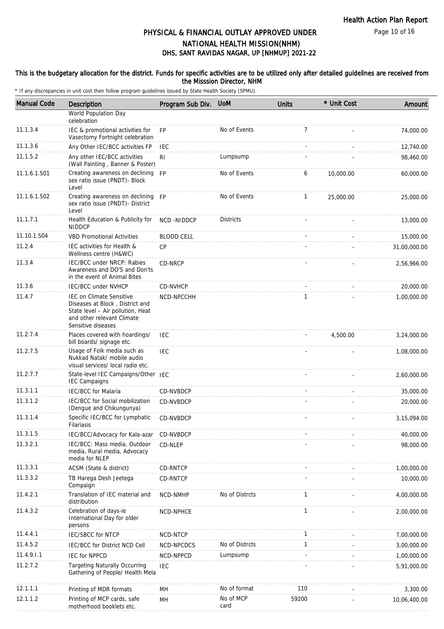Page 10 of 16

# DHS, SANT RAVIDAS NAGAR, UP [NHMUP] 2021-22 PHYSICAL & FINANCIAL OUTLAY APPROVED UNDER NATIONAL HEALTH MISSION(NHM)

#### This is the budgetary allocation for the district. Funds for specific activities are to be utilized only after detailed guidelines are received from the Misssion Director, NHM

| <b>Manual Code</b> | Description                                                                                                                                                 | Program Sub Div.  | <b>UoM</b>        | <b>Units</b>   | * Unit Cost | Amount       |
|--------------------|-------------------------------------------------------------------------------------------------------------------------------------------------------------|-------------------|-------------------|----------------|-------------|--------------|
|                    | World Population Day<br>celebration                                                                                                                         |                   |                   |                |             |              |
| 11.1.3.4           | IEC & promotional activities for<br>Vasectomy Fortnight celebration                                                                                         | <b>FP</b>         | No of Events      | $\overline{7}$ |             | 74,000.00    |
| 11.1.3.6           | Any Other IEC/BCC activities FP                                                                                                                             | IEC               |                   |                |             | 12,740.00    |
| 11.1.5.2           | Any other IEC/BCC activities<br>(Wall Painting, Banner & Poster)                                                                                            | RI                | Lumpsump          |                |             | 98,460.00    |
| 11.1.6.1.S01       | Creating awareness on declining FP<br>sex ratio issue (PNDT)- Block<br>Level                                                                                |                   | No of Events      | 6              | 10,000.00   | 60,000.00    |
| 11.1.6.1.S02       | Creating awareness on declining<br>sex ratio issue (PNDT)- District<br>Level                                                                                | <b>FP</b>         | No of Events      | $\mathbf{1}$   | 25,000.00   | 25,000.00    |
| 11.1.7.1           | Health Education & Publicity for<br><b>NIDDCP</b>                                                                                                           | <b>NCD-NIDDCP</b> | <b>Districts</b>  |                |             | 13,000.00    |
| 11.10.1.S04        | <b>VBD Promotional Activities</b>                                                                                                                           | <b>BLOOD CELL</b> |                   |                |             | 15,000.00    |
| 11.2.4             | IEC activities for Health &<br>Wellness centre (H&WC)                                                                                                       | CP                |                   |                |             | 31,00,000.00 |
| 11.3.4             | IEC/BCC under NRCP: Rabies<br>Awareness and DO'S and Don'ts<br>in the event of Animal Bites                                                                 | CD-NRCP           |                   |                |             | 2,56,966.00  |
| 11.3.6             | <b>IEC/BCC under NVHCP</b>                                                                                                                                  | CD-NVHCP          |                   |                |             | 20,000.00    |
| 11.4.7             | <b>IEC on Climate Sensitive</b><br>Diseases at Block, District and<br>State level - Air pollution, Heat<br>and other relevant Climate<br>Sensitive diseases | NCD-NPCCHH        |                   | $\mathbf{1}$   |             | 1,00,000.00  |
| 11.2.7.4           | Places covered with hoardings/<br>bill boards/ signage etc.                                                                                                 | <b>IEC</b>        |                   |                | 4,500.00    | 3,24,000.00  |
| 11.2.7.5           | Usage of Folk media such as<br>Nukkad Natak/ mobile audio<br>visual services/ local radio etc.                                                              | <b>IEC</b>        |                   |                |             | 1,08,000.00  |
| 11.2.7.7           | State-level IEC Campaigns/Other IEC<br><b>IEC Campaigns</b>                                                                                                 |                   |                   |                |             | 2,60,000.00  |
| 11.3.1.1           | <b>IEC/BCC</b> for Malaria                                                                                                                                  | CD-NVBDCP         |                   |                |             | 35,000.00    |
| 11.3.1.2           | IEC/BCC for Social mobilization<br>(Dengue and Chikungunya)                                                                                                 | <b>CD-NVBDCP</b>  |                   |                |             | 20,000.00    |
| 11.3.1.4           | Specific IEC/BCC for Lymphatic<br>Filariasis                                                                                                                | CD-NVBDCP         |                   |                |             | 3,15,094.00  |
| 11.3.1.5           | IEC/BCC/Advocacy for Kala-azar                                                                                                                              | CD-NVBDCP         |                   |                |             | 40,000.00    |
| 11.3.2.1           | IEC/BCC: Mass media, Outdoor<br>media, Rural media, Advocacy<br>media for NLEP                                                                              | CD-NLEP           |                   |                |             | 98,000.00    |
| 11.3.3.1           | ACSM (State & district)                                                                                                                                     | CD-RNTCP          |                   |                |             | 1,00,000.00  |
| 11.3.3.2           | TB Harega Desh Jeetega<br>Compaign                                                                                                                          | <b>CD-RNTCP</b>   |                   |                |             | 10,000.00    |
| 11.4.2.1           | Translation of IEC material and<br>distribution                                                                                                             | NCD-NMHP          | No of Distrcts    | $\mathbf{1}$   |             | 4,00,000.00  |
| 11.4.3.2           | Celebration of days-ie<br>International Day for older<br>persons                                                                                            | NCD-NPHCE         |                   | 1              |             | 2,00,000.00  |
| 11.4.4.1           | IEC/SBCC for NTCP                                                                                                                                           | NCD-NTCP          |                   | $\mathbf{1}$   |             | 7,00,000.00  |
| 11.4.5.2           | IEC/BCC for District NCD Cell                                                                                                                               | NCD-NPCDCS        | No of Distrcts    | $\mathbf{1}$   |             | 3,00,000.00  |
| 11.4.9.1.1         | <b>IEC for NPPCD</b>                                                                                                                                        | NCD-NPPCD         | Lumpsump          |                |             | 1,00,000.00  |
| 11.2.7.2           | <b>Targeting Naturally Occurring</b><br>Gathering of People/ Health Mela                                                                                    | <b>IEC</b>        |                   |                |             | 5,91,000.00  |
| 12.1.1.1           | Printing of MDR formats                                                                                                                                     | MH                | No of format      | 110            |             | 3,300.00     |
| 12.1.1.2           | Printing of MCP cards, safe<br>motherhood booklets etc.                                                                                                     | МH                | No of MCP<br>card | 59200          |             | 10,06,400.00 |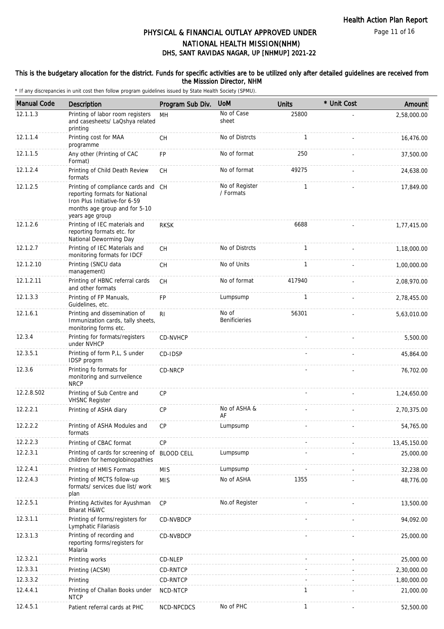Page 11 of 16

## DHS, SANT RAVIDAS NAGAR, UP [NHMUP] 2021-22 PHYSICAL & FINANCIAL OUTLAY APPROVED UNDER NATIONAL HEALTH MISSION(NHM)

### This is the budgetary allocation for the district. Funds for specific activities are to be utilized only after detailed guidelines are received from the Misssion Director, NHM

| <b>Manual Code</b> | Description                                                                                                                                                | Program Sub Div. | <b>UoM</b>                    | <b>Units</b> | * Unit Cost | Amount       |
|--------------------|------------------------------------------------------------------------------------------------------------------------------------------------------------|------------------|-------------------------------|--------------|-------------|--------------|
| 12.1.1.3           | Printing of labor room registers<br>and casesheets/ LaQshya related<br>printing                                                                            | <b>MH</b>        | No of Case<br>sheet           | 25800        |             | 2,58,000.00  |
| 12.1.1.4           | Printing cost for MAA<br>programme                                                                                                                         | <b>CH</b>        | No of Distrcts                | $\mathbf{1}$ |             | 16,476.00    |
| 12.1.1.5           | Any other (Printing of CAC<br>Format)                                                                                                                      | FP               | No of format                  | 250          |             | 37,500.00    |
| 12.1.2.4           | Printing of Child Death Review<br>formats                                                                                                                  | CH               | No of format                  | 49275        |             | 24,638.00    |
| 12.1.2.5           | Printing of compliance cards and CH<br>reporting formats for National<br>Iron Plus Initiative-for 6-59<br>months age group and for 5-10<br>years age group |                  | No of Register<br>/ Formats   | $\mathbf{1}$ |             | 17,849.00    |
| 12.1.2.6           | Printing of IEC materials and<br>reporting formats etc. for<br>National Deworming Day                                                                      | <b>RKSK</b>      |                               | 6688         |             | 1,77,415.00  |
| 12.1.2.7           | Printing of IEC Materials and<br>monitoring formats for IDCF                                                                                               | <b>CH</b>        | No of Distrcts                | $\mathbf{1}$ |             | 1,18,000.00  |
| 12.1.2.10          | Printing (SNCU data<br>management)                                                                                                                         | CH               | No of Units                   | $\mathbf{1}$ |             | 1,00,000.00  |
| 12.1.2.11          | Printing of HBNC referral cards<br>and other formats                                                                                                       | <b>CH</b>        | No of format                  | 417940       |             | 2,08,970.00  |
| 12.1.3.3           | Printing of FP Manuals,<br>Guidelines, etc.                                                                                                                | FP               | Lumpsump                      | $\mathbf{1}$ |             | 2,78,455.00  |
| 12.1.6.1           | Printing and dissemination of<br>Immunization cards, tally sheets,<br>monitoring forms etc.                                                                | R <sub>l</sub>   | No of<br><b>Benificieries</b> | 56301        |             | 5,63,010.00  |
| 12.3.4             | Printing for formats/registers<br>under NVHCP                                                                                                              | <b>CD-NVHCP</b>  |                               |              |             | 5,500.00     |
| 12.3.5.1           | Printing of form P,L, S under<br>IDSP progrm                                                                                                               | CD-IDSP          |                               |              |             | 45,864.00    |
| 12.3.6             | Printing fo formats for<br>monitoring and surrveilence<br><b>NRCP</b>                                                                                      | CD-NRCP          |                               |              |             | 76,702.00    |
| 12.2.8.S02         | Printing of Sub Centre and<br><b>VHSNC Register</b>                                                                                                        | CP               |                               |              |             | 1,24,650.00  |
| 12.2.2.1           | Printing of ASHA diary                                                                                                                                     | CP               | No of ASHA &<br>AF            |              |             | 2,70,375.00  |
| 12.2.2.2           | Printing of ASHA Modules and<br>formats                                                                                                                    | CP               | Lumpsump                      |              |             | 54,765.00    |
| 12.2.2.3           | Printing of CBAC format                                                                                                                                    | CP               |                               |              |             | 13,45,150.00 |
| 12.2.3.1           | Printing of cards for screening of BLOOD CELL<br>children for hemoglobinopathies                                                                           |                  | Lumpsump                      |              |             | 25,000.00    |
| 12.2.4.1           | Printing of HMIS Formats                                                                                                                                   | <b>MIS</b>       | Lumpsump                      |              |             | 32,238.00    |
| 12.2.4.3           | Printing of MCTS follow-up<br>formats/ services due list/ work<br>plan                                                                                     | <b>MIS</b>       | No of ASHA                    | 1355         |             | 48,776.00    |
| 12.2.5.1           | Printing Activites for Ayushman<br>Bharat H&WC                                                                                                             | <b>CP</b>        | No.of Register                |              |             | 13,500.00    |
| 12.3.1.1           | Printing of forms/registers for<br>Lymphatic Filariasis                                                                                                    | CD-NVBDCP        |                               |              |             | 94,092.00    |
| 12.3.1.3           | Printing of recording and<br>reporting forms/registers for<br>Malaria                                                                                      | CD-NVBDCP        |                               |              |             | 25,000.00    |
| 12.3.2.1           | Printing works                                                                                                                                             | CD-NLEP          |                               |              |             | 25,000.00    |
| 12.3.3.1           | Printing (ACSM)                                                                                                                                            | CD-RNTCP         |                               |              |             | 2,30,000.00  |
| 12.3.3.2           | Printing                                                                                                                                                   | CD-RNTCP         |                               |              |             | 1,80,000.00  |
| 12.4.4.1           | Printing of Challan Books under<br><b>NTCP</b>                                                                                                             | NCD-NTCP         |                               | 1            |             | 21,000.00    |
| 12.4.5.1           | Patient referral cards at PHC                                                                                                                              | NCD-NPCDCS       | No of PHC                     | $\mathbf{1}$ |             | 52,500.00    |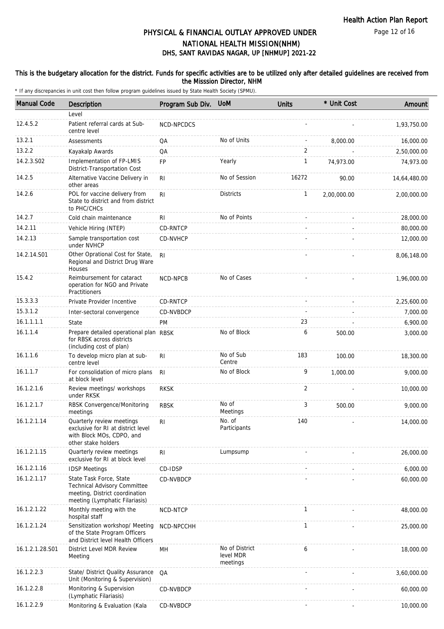Page 12 of 16

# DHS, SANT RAVIDAS NAGAR, UP [NHMUP] 2021-22 PHYSICAL & FINANCIAL OUTLAY APPROVED UNDER NATIONAL HEALTH MISSION(NHM)

### This is the budgetary allocation for the district. Funds for specific activities are to be utilized only after detailed guidelines are received from the Misssion Director, NHM

| <b>Manual Code</b> | Description                                                                                                                        | Program Sub Div. | <b>UoM</b>                              | <b>Units</b> | * Unit Cost | Amount       |
|--------------------|------------------------------------------------------------------------------------------------------------------------------------|------------------|-----------------------------------------|--------------|-------------|--------------|
|                    | Level                                                                                                                              |                  |                                         |              |             |              |
| 12.4.5.2           | Patient referral cards at Sub-<br>centre level                                                                                     | NCD-NPCDCS       |                                         |              |             | 1,93,750.00  |
| 13.2.1             | Assessments                                                                                                                        | QA               | No of Units                             |              | 8,000.00    | 16,000.00    |
| 13.2.2             | Kayakalp Awards                                                                                                                    | QA               |                                         | 2            |             | 2,50,000.00  |
| 14.2.3.S02         | Implementation of FP-LMIS<br>District-Transportation Cost                                                                          | <b>FP</b>        | Yearly                                  | $\mathbf{1}$ | 74,973.00   | 74,973.00    |
| 14.2.5             | Alternative Vaccine Delivery in<br>other areas                                                                                     | R <sub>l</sub>   | No of Session                           | 16272        | 90.00       | 14,64,480.00 |
| 14.2.6             | POL for vaccine delivery from<br>State to district and from district<br>to PHC/CHCs                                                | R <sub>l</sub>   | <b>Districts</b>                        | $\mathbf{1}$ | 2,00,000.00 | 2,00,000.00  |
| 14.2.7             | Cold chain maintenance                                                                                                             | RI               | No of Points                            |              |             | 28,000.00    |
| 14.2.11            | Vehicle Hiring (NTEP)                                                                                                              | CD-RNTCP         |                                         |              |             | 80,000.00    |
| 14.2.13            | Sample transportation cost<br>under NVHCP                                                                                          | <b>CD-NVHCP</b>  |                                         |              |             | 12,000.00    |
| 14.2.14.S01        | Other Oprational Cost for State,<br>Regional and District Drug Ware<br>Houses                                                      | -RI              |                                         |              |             | 8,06,148.00  |
| 15.4.2             | Reimbursement for cataract<br>operation for NGO and Private<br>Practitioners                                                       | <b>NCD-NPCB</b>  | No of Cases                             |              |             | 1,96,000.00  |
| 15.3.3.3           | Private Provider Incentive                                                                                                         | CD-RNTCP         |                                         |              |             | 2,25,600.00  |
| 15.3.1.2           | Inter-sectoral convergence                                                                                                         | CD-NVBDCP        |                                         |              |             | 7,000.00     |
| 16.1.1.1.1         | State                                                                                                                              | <b>PM</b>        |                                         | 23           |             | 6,900.00     |
| 16.1.1.4           | Prepare detailed operational plan RBSK<br>for RBSK across districts<br>(including cost of plan)                                    |                  | No of Block                             | 6            | 500.00      | 3,000.00     |
| 16.1.1.6           | To develop micro plan at sub-<br>centre level                                                                                      | R <sub>l</sub>   | No of Sub<br>Centre                     | 183          | 100.00      | 18,300.00    |
| 16.1.1.7           | For consolidation of micro plans<br>at block level                                                                                 | -RI              | No of Block                             | 9            | 1,000.00    | 9,000.00     |
| 16.1.2.1.6         | Review meetings/ workshops<br>under RKSK                                                                                           | <b>RKSK</b>      |                                         | 2            |             | 10,000.00    |
| 16.1.2.1.7         | RBSK Convergence/Monitoring<br>meetings                                                                                            | <b>RBSK</b>      | No of<br>Meetings                       | 3            | 500.00      | 9,000.00     |
| 16.1.2.1.14        | Quarterly review meetings<br>exclusive for RI at district level<br>with Block MOs, CDPO, and<br>other stake holders                | R <sub>l</sub>   | No. of<br>Participants                  | 140          |             | 14,000.00    |
| 16.1.2.1.15        | Quarterly review meetings<br>exclusive for RI at block level                                                                       | R <sub>l</sub>   | Lumpsump                                |              |             | 26,000.00    |
| 16.1.2.1.16        | <b>IDSP Meetings</b>                                                                                                               | CD-IDSP          |                                         |              |             | 6,000.00     |
| 16.1.2.1.17        | State Task Force, State<br><b>Technical Advisory Committee</b><br>meeting, District coordination<br>meeting (Lymphatic Filariasis) | CD-NVBDCP        |                                         |              |             | 60,000.00    |
| 16.1.2.1.22        | Monthly meeting with the<br>hospital staff                                                                                         | NCD-NTCP         |                                         | 1            |             | 48,000.00    |
| 16.1.2.1.24        | Sensitization workshop/ Meeting<br>of the State Program Officers<br>and District level Health Officers                             | NCD-NPCCHH       |                                         | $\mathbf{1}$ |             | 25,000.00    |
| 16.1.2.1.28.S01    | District Level MDR Review<br>Meeting                                                                                               | MН               | No of District<br>level MDR<br>meetings | 6            |             | 18,000.00    |
| 16.1.2.2.3         | State/ District Quality Assurance<br>Unit (Monitoring & Supervision)                                                               | QA               |                                         |              |             | 3,60,000.00  |
| 16.1.2.2.8         | Monitoring & Supervision<br>(Lymphatic Filariasis)                                                                                 | CD-NVBDCP        |                                         |              |             | 60,000.00    |
| 16.1.2.2.9         | Monitoring & Evaluation (Kala                                                                                                      | CD-NVBDCP        |                                         |              |             | 10,000.00    |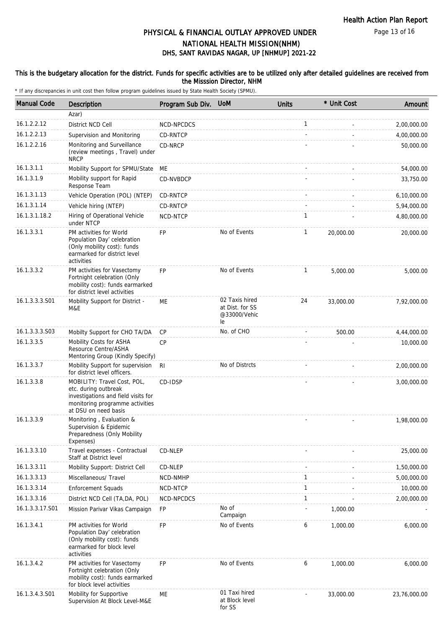Page 13 of 16

# DHS, SANT RAVIDAS NAGAR, UP [NHMUP] 2021-22 PHYSICAL & FINANCIAL OUTLAY APPROVED UNDER NATIONAL HEALTH MISSION(NHM)

#### This is the budgetary allocation for the district. Funds for specific activities are to be utilized only after detailed guidelines are received from the Misssion Director, NHM

| <b>Manual Code</b> | <b>Description</b>                                                                                                                                    | Program Sub Div. UoM |                                                         | <b>Units</b> | * Unit Cost | Amount       |
|--------------------|-------------------------------------------------------------------------------------------------------------------------------------------------------|----------------------|---------------------------------------------------------|--------------|-------------|--------------|
|                    | Azar)                                                                                                                                                 |                      |                                                         |              |             |              |
| 16.1.2.2.12        | District NCD Cell                                                                                                                                     | NCD-NPCDCS           |                                                         | $\mathbf{1}$ |             | 2,00,000.00  |
| 16.1.2.2.13        | Supervision and Monitoring                                                                                                                            | CD-RNTCP             |                                                         |              |             | 4,00,000.00  |
| 16.1.2.2.16        | Monitoring and Surveillance<br>(review meetings, Travel) under<br><b>NRCP</b>                                                                         | CD-NRCP              |                                                         |              |             | 50,000.00    |
| 16.1.3.1.1         | Mobility Support for SPMU/State                                                                                                                       | МE                   |                                                         |              |             | 54,000.00    |
| 16.1.3.1.9         | Mobility support for Rapid<br>Response Team                                                                                                           | CD-NVBDCP            |                                                         |              |             | 33,750.00    |
| 16.1.3.1.13        | Vehicle Operation (POL) (NTEP)                                                                                                                        | CD-RNTCP             |                                                         |              |             | 6,10,000.00  |
| 16.1.3.1.14        | Vehicle hiring (NTEP)                                                                                                                                 | CD-RNTCP             |                                                         |              |             | 5,94,000.00  |
| 16.1.3.1.18.2      | Hiring of Operational Vehicle<br>under NTCP                                                                                                           | NCD-NTCP             |                                                         | $\mathbf{1}$ |             | 4,80,000.00  |
| 16.1.3.3.1         | PM activities for World<br>Population Day' celebration<br>(Only mobility cost): funds<br>earmarked for district level<br>activities                   | <b>FP</b>            | No of Events                                            | 1            | 20,000.00   | 20,000.00    |
| 16.1.3.3.2         | PM activities for Vasectomy<br>Fortnight celebration (Only<br>mobility cost): funds earmarked<br>for district level activities                        | <b>FP</b>            | No of Events                                            | $\mathbf{1}$ | 5,000.00    | 5,000.00     |
| 16.1.3.3.3.S01     | Mobility Support for District -<br>M&E                                                                                                                | ME                   | 02 Taxis hired<br>at Dist. for SS<br>@33000/Vehic<br>le | 24           | 33,000.00   | 7,92,000.00  |
| 16.1.3.3.3.S03     | Mobilty Support for CHO TA/DA                                                                                                                         | <b>CP</b>            | No. of CHO                                              |              | 500.00      | 4,44,000.00  |
| 16.1.3.3.5         | Mobility Costs for ASHA<br>Resource Centre/ASHA<br>Mentoring Group (Kindly Specify)                                                                   | <b>CP</b>            |                                                         |              |             | 10,000.00    |
| 16.1.3.3.7         | Mobility Support for supervision<br>for district level officers.                                                                                      | R <sub>l</sub>       | No of Distrcts                                          |              |             | 2,00,000.00  |
| 16.1.3.3.8         | MOBILITY: Travel Cost, POL,<br>etc. during outbreak<br>investigations and field visits for<br>monitoring programme activities<br>at DSU on need basis | CD-IDSP              |                                                         |              |             | 3,00,000.00  |
| 16.1.3.3.9         | Monitoring, Evaluation &<br>Supervision & Epidemic<br>Preparedness (Only Mobility<br>Expenses)                                                        |                      |                                                         |              |             | 1,98,000.00  |
| 16.1.3.3.10        | Travel expenses - Contractual<br>Staff at District level                                                                                              | CD-NLEP              |                                                         |              |             | 25,000.00    |
| 16.1.3.3.11        | Mobility Support: District Cell                                                                                                                       | CD-NLEP              |                                                         |              |             | 1,50,000.00  |
| 16.1.3.3.13        | Miscellaneous/ Travel                                                                                                                                 | NCD-NMHP             |                                                         | $\mathbf{1}$ |             | 5,00,000.00  |
| 16.1.3.3.14        | <b>Enforcement Squads</b>                                                                                                                             | NCD-NTCP             |                                                         | $\mathbf{1}$ |             | 10,000.00    |
| 16.1.3.3.16        | District NCD Cell (TA, DA, POL)                                                                                                                       | NCD-NPCDCS           |                                                         | $\mathbf{1}$ |             | 2,00,000.00  |
| 16.1.3.3.17.S01    | Mission Parivar Vikas Campaign                                                                                                                        | <b>FP</b>            | No of<br>Campaign                                       |              | 1,000.00    |              |
| 16.1.3.4.1         | PM activities for World<br>Population Day' celebration<br>(Only mobility cost): funds<br>earmarked for block level<br>activities                      | <b>FP</b>            | No of Events                                            | 6            | 1,000.00    | 6,000.00     |
| 16.1.3.4.2         | PM activities for Vasectomy<br>Fortnight celebration (Only<br>mobility cost): funds earmarked<br>for block level activities                           | <b>FP</b>            | No of Events                                            | 6            | 1,000.00    | 6,000.00     |
| 16.1.3.4.3.S01     | Mobility for Supportive<br>Supervision At Block Level-M&E                                                                                             | ME                   | 01 Taxi hired<br>at Block level<br>for SS               |              | 33,000.00   | 23,76,000.00 |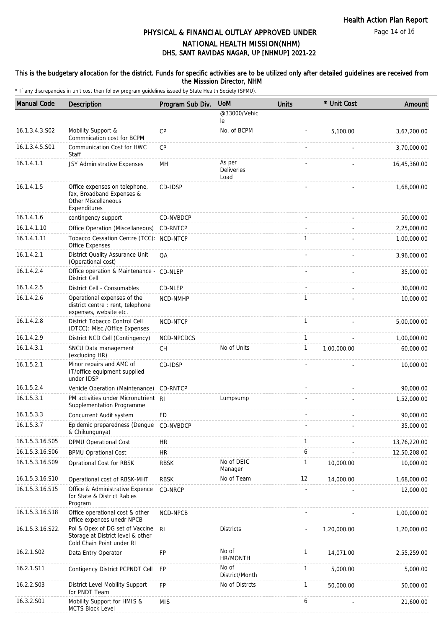Page 14 of 16

## DHS, SANT RAVIDAS NAGAR, UP [NHMUP] 2021-22 PHYSICAL & FINANCIAL OUTLAY APPROVED UNDER NATIONAL HEALTH MISSION(NHM)

### This is the budgetary allocation for the district. Funds for specific activities are to be utilized only after detailed guidelines are received from the Misssion Director, NHM

| <b>Manual Code</b> | Description                                                                                              | Program Sub Div. | <b>UoM</b>                   | <b>Units</b> | * Unit Cost | Amount       |
|--------------------|----------------------------------------------------------------------------------------------------------|------------------|------------------------------|--------------|-------------|--------------|
|                    |                                                                                                          |                  | @33000/Vehic<br>le           |              |             |              |
| 16.1.3.4.3.S02     | Mobility Support &<br>Commnication cost for BCPM                                                         | <b>CP</b>        | No. of BCPM                  |              | 5,100.00    | 3,67,200.00  |
| 16.1.3.4.5.S01     | Communication Cost for HWC<br>Staff                                                                      | <b>CP</b>        |                              |              |             | 3,70,000.00  |
| 16.1.4.1.1         | JSY Administrative Expenses                                                                              | MH               | As per<br>Deliveries<br>Load |              |             | 16,45,360.00 |
| 16.1.4.1.5         | Office expenses on telephone,<br>fax, Broadband Expenses &<br><b>Other Miscellaneous</b><br>Expenditures | CD-IDSP          |                              |              |             | 1,68,000.00  |
| 16.1.4.1.6         | contingency support                                                                                      | CD-NVBDCP        |                              |              |             | 50,000.00    |
| 16.1.4.1.10        | Office Operation (Miscellaneous)                                                                         | CD-RNTCP         |                              |              |             | 2,25,000.00  |
| 16.1.4.1.11        | Tobacco Cessation Centre (TCC): NCD-NTCP<br>Office Expenses                                              |                  |                              | $\mathbf{1}$ |             | 1,00,000.00  |
| 16.1.4.2.1         | District Quality Assurance Unit<br>(Operational cost)                                                    | QA               |                              |              |             | 3,96,000.00  |
| 16.1.4.2.4         | Office operation & Maintenance - CD-NLEP<br><b>District Cell</b>                                         |                  |                              |              |             | 35,000.00    |
| 16.1.4.2.5         | District Cell - Consumables                                                                              | CD-NLEP          |                              |              |             | 30,000.00    |
| 16.1.4.2.6         | Operational expenses of the<br>district centre : rent, telephone<br>expenses, website etc.               | NCD-NMHP         |                              | 1            |             | 10,000.00    |
| 16.1.4.2.8         | District Tobacco Control Cell<br>(DTCC): Misc./Office Expenses                                           | NCD-NTCP         |                              | $\mathbf{1}$ |             | 5,00,000.00  |
| 16.1.4.2.9         | District NCD Cell (Contingency)                                                                          | NCD-NPCDCS       |                              | $\mathbf{1}$ |             | 1,00,000.00  |
| 16.1.4.3.1         | SNCU Data management<br>(excluding HR)                                                                   | <b>CH</b>        | No of Units                  | $\mathbf{1}$ | 1,00,000.00 | 60,000.00    |
| 16.1.5.2.1         | Minor repairs and AMC of<br>IT/office equipment supplied<br>under IDSP                                   | CD-IDSP          |                              |              |             | 10,000.00    |
| 16.1.5.2.4         | Vehicle Operation (Maintenance) CD-RNTCP                                                                 |                  |                              |              |             | 90,000.00    |
| 16.1.5.3.1         | PM activities under Micronutrient RI<br>Supplementation Programme                                        |                  | Lumpsump                     |              |             | 1,52,000.00  |
| 16.1.5.3.3         | Concurrent Audit system                                                                                  | FD               |                              |              |             | 90,000.00    |
| 16.1.5.3.7         | Epidemic preparedness (Dengue CD-NVBDCP<br>& Chikungunya)                                                |                  |                              |              |             | 35,000.00    |
| 16.1.5.3.16.S05    | DPMU Operational Cost                                                                                    | HR.              |                              | 1            |             | 13,76,220.00 |
| 16.1.5.3.16.S06    | <b>BPMU Oprational Cost</b>                                                                              | ${\sf HR}$       |                              | 6            |             | 12,50,208.00 |
| 16.1.5.3.16.S09    | Oprational Cost for RBSK                                                                                 | <b>RBSK</b>      | No of DEIC<br>Manager        | 1            | 10,000.00   | 10,000.00    |
| 16.1.5.3.16.S10    | Operational cost of RBSK-MHT                                                                             | <b>RBSK</b>      | No of Team                   | 12           | 14,000.00   | 1,68,000.00  |
| 16.1.5.3.16.S15    | Office & Administrative Expence<br>for State & District Rabies<br>Program                                | CD-NRCP          |                              |              |             | 12,000.00    |
| 16.1.5.3.16.S18    | Office operational cost & other<br>office expences unedr NPCB                                            | NCD-NPCB         |                              |              |             | 1,00,000.00  |
| 16.1.5.3.16.S22.   | Pol & Opex of DG set of Vaccine<br>Storage at District level & other<br>Cold Chain Point under RI        | -RI              | <b>Districts</b>             |              | 1,20,000.00 | 1,20,000.00  |
| 16.2.1.S02         | Data Entry Operator                                                                                      | FP               | No of<br>HR/MONTH            | $\mathbf{1}$ | 14,071.00   | 2,55,259.00  |
| 16.2.1.S11         | Contigency District PCPNDT Cell                                                                          | FP               | No of<br>District/Month      | 1            | 5,000.00    | 5,000.00     |
| 16.2.2.S03         | District Level Mobility Support<br>for PNDT Team                                                         | FP               | No of Distrcts               | $\mathbf{1}$ | 50,000.00   | 50,000.00    |
| 16.3.2.S01         | Mobility Support for HMIS &<br>MCTS Block Level                                                          | <b>MIS</b>       |                              | 6            |             | 21,600.00    |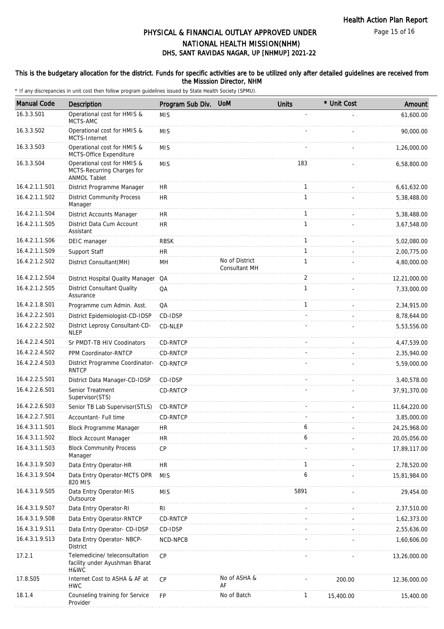Page 15 of 16

# DHS, SANT RAVIDAS NAGAR, UP [NHMUP] 2021-22 PHYSICAL & FINANCIAL OUTLAY APPROVED UNDER NATIONAL HEALTH MISSION(NHM)

#### This is the budgetary allocation for the district. Funds for specific activities are to be utilized only after detailed guidelines are received from the Misssion Director, NHM

| <b>Manual Code</b> | Description                                                                      | Program Sub Div. | <b>UoM</b>                      | <b>Units</b>   | * Unit Cost | Amount       |
|--------------------|----------------------------------------------------------------------------------|------------------|---------------------------------|----------------|-------------|--------------|
| 16.3.3.S01         | Operational cost for HMIS &<br>MCTS-AMC                                          | <b>MIS</b>       |                                 |                |             | 61,600.00    |
| 16.3.3.S02         | Operational cost for HMIS &<br>MCTS-Internet                                     | <b>MIS</b>       |                                 |                |             | 90,000.00    |
| 16.3.3.S03         | Operational cost for HMIS &<br>MCTS-Office Expenditure                           | <b>MIS</b>       |                                 |                |             | 1,26,000.00  |
| 16.3.3.S04         | Operational cost for HMIS &<br>MCTS-Recurring Charges for<br><b>ANMOL Tablet</b> | <b>MIS</b>       |                                 | 183            |             | 6,58,800.00  |
| 16.4.2.1.1.S01     | District Programme Manager                                                       | <b>HR</b>        |                                 | $\mathbf{1}$   |             | 6,61,632.00  |
| 16.4.2.1.1.S02     | <b>District Community Process</b><br>Manager                                     | <b>HR</b>        |                                 | $\mathbf{1}$   |             | 5,38,488.00  |
| 16.4.2.1.1.S04     | District Accounts Manager                                                        | <b>HR</b>        |                                 | $\mathbf{1}$   |             | 5,38,488.00  |
| 16.4.2.1.1.S05     | District Data Cum Account<br>Assistant                                           | <b>HR</b>        |                                 | $\mathbf{1}$   |             | 3,67,548.00  |
| 16.4.2.1.1.S06     | DEIC manager                                                                     | <b>RBSK</b>      |                                 | $\mathbf{1}$   |             | 5,02,080.00  |
| 16.4.2.1.1.S09     | Support Staff                                                                    | <b>HR</b>        |                                 | $\mathbf{1}$   |             | 2,00,775.00  |
| 16.4.2.1.2.S02     | District Consultant(MH)                                                          | MH               | No of District<br>Consultant MH | 1              |             | 4,80,000.00  |
| 16.4.2.1.2.S04     | District Hospital Quality Manager QA                                             |                  |                                 | $\overline{2}$ |             | 12,21,000.00 |
| 16.4.2.1.2.S05     | <b>District Consultant Quality</b><br>Assurance                                  | QA               |                                 | $\mathbf{1}$   |             | 7,33,000.00  |
| 16.4.2.1.8.S01     | Programme cum Admin. Asst.                                                       | QA               |                                 | $\mathbf{1}$   |             | 2,34,915.00  |
| 16.4.2.2.2.S01     | District Epidemiologist-CD-IDSP                                                  | CD-IDSP          |                                 |                |             | 8,78,644.00  |
| 16.4.2.2.2.S02     | District Leprosy Consultant-CD-<br><b>NLEP</b>                                   | CD-NLEP          |                                 |                |             | 5,53,556.00  |
| 16.4.2.2.4.S01     | Sr PMDT-TB HIV Coodinators                                                       | CD-RNTCP         |                                 |                |             | 4,47,539.00  |
| 16.4.2.2.4.S02     | PPM Coordinator-RNTCP                                                            | <b>CD-RNTCP</b>  |                                 |                |             | 2,35,940.00  |
| 16.4.2.2.4.S03     | District Programme Coordinator-<br><b>RNTCP</b>                                  | <b>CD-RNTCP</b>  |                                 |                |             | 5,59,000.00  |
| 16.4.2.2.5.S01     | District Data Manager-CD-IDSP                                                    | CD-IDSP          |                                 |                |             | 3,40,578.00  |
| 16.4.2.2.6.S01     | Senior Treatment<br>Supervisor(STS)                                              | <b>CD-RNTCP</b>  |                                 |                |             | 37,91,370.00 |
| 16.4.2.2.6.S03     | Senior TB Lab Supervisor(STLS)                                                   | CD-RNTCP         |                                 |                |             | 11,64,220.00 |
| 16.4.2.2.7.S01     | Accountant- Full time                                                            | CD-RNTCP         |                                 |                |             | 3,85,000.00  |
| 16.4.3.1.1.S01     | Block Programme Manager                                                          | <b>HR</b>        |                                 | 6              |             | 24,25,968.00 |
| 16.4.3.1.1.S02     | <b>Block Account Manager</b>                                                     | HR.              |                                 | 6              |             | 20,05,056.00 |
| 16.4.3.1.1.S03     | <b>Block Community Process</b><br>Manager                                        | <b>CP</b>        |                                 |                |             | 17,89,117.00 |
| 16.4.3.1.9.S03     | Data Entry Operator-HR                                                           | <b>HR</b>        |                                 | 1              |             | 2,78,520.00  |
| 16.4.3.1.9.S04     | Data Entry Operator-MCTS OPR<br>820 MIS                                          | <b>MIS</b>       |                                 | 6              |             | 15,81,984.00 |
| 16.4.3.1.9.S05     | Data Entry Operator-MIS<br>Outsource                                             | <b>MIS</b>       |                                 | 5891           |             | 29,454.00    |
| 16.4.3.1.9.S07     | Data Entry Operator-RI                                                           | RI               |                                 |                |             | 2,37,510.00  |
| 16.4.3.1.9.S08     | Data Entry Operator-RNTCP                                                        | CD-RNTCP         |                                 |                |             | 1,62,373.00  |
| 16.4.3.1.9.S11     | Data Entry Operator- CD-IDSP                                                     | CD-IDSP          |                                 |                |             | 2,55,636.00  |
| 16.4.3.1.9.S13     | Data Entry Operator- NBCP-<br><b>District</b>                                    | NCD-NPCB         |                                 |                |             | 1,60,606.00  |
| 17.2.1             | Telemedicine/ teleconsultation<br>facility under Ayushman Bharat<br>H&WC         | <b>CP</b>        |                                 |                |             | 13,26,000.00 |
| 17.8.S05           | Internet Cost to ASHA & AF at<br><b>HWC</b>                                      | CP               | No of ASHA &<br>AF              |                | 200.00      | 12,36,000.00 |
| 18.1.4             | Counseling training for Service<br>Provider                                      | FP               | No of Batch                     | 1              | 15,400.00   | 15,400.00    |